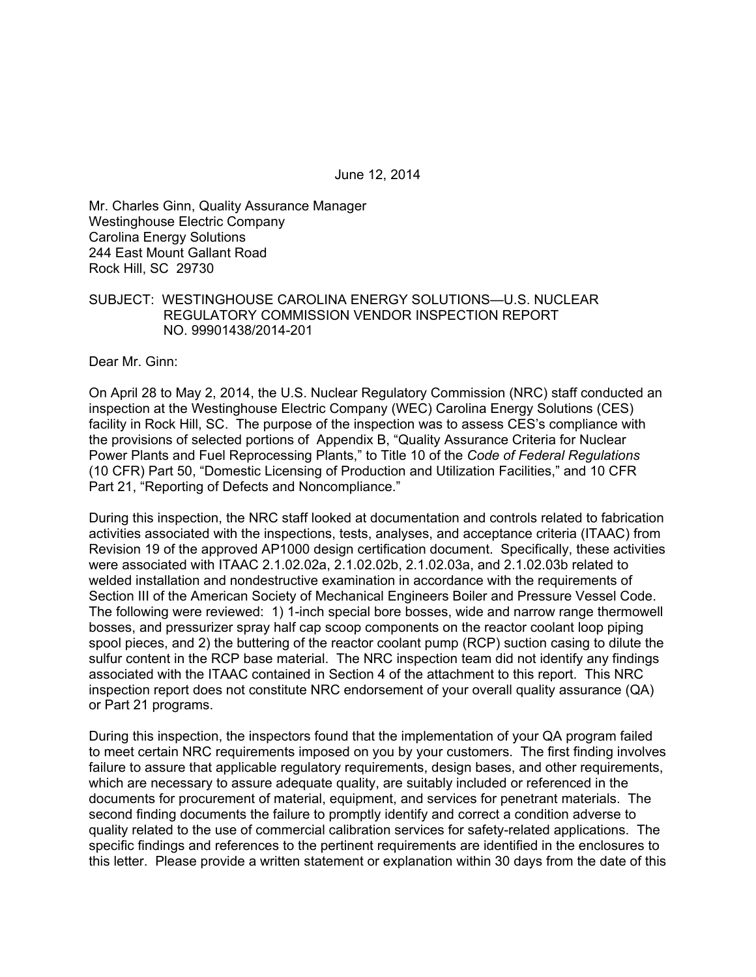June 12, 2014

Mr. Charles Ginn, Quality Assurance Manager Westinghouse Electric Company Carolina Energy Solutions 244 East Mount Gallant Road Rock Hill, SC 29730

### SUBJECT: WESTINGHOUSE CAROLINA ENERGY SOLUTIONS—U.S. NUCLEAR REGULATORY COMMISSION VENDOR INSPECTION REPORT NO. 99901438/2014-201

Dear Mr. Ginn:

On April 28 to May 2, 2014, the U.S. Nuclear Regulatory Commission (NRC) staff conducted an inspection at the Westinghouse Electric Company (WEC) Carolina Energy Solutions (CES) facility in Rock Hill, SC. The purpose of the inspection was to assess CES's compliance with the provisions of selected portions of Appendix B, "Quality Assurance Criteria for Nuclear Power Plants and Fuel Reprocessing Plants," to Title 10 of the *Code of Federal Regulations* (10 CFR) Part 50, "Domestic Licensing of Production and Utilization Facilities," and 10 CFR Part 21, "Reporting of Defects and Noncompliance."

During this inspection, the NRC staff looked at documentation and controls related to fabrication activities associated with the inspections, tests, analyses, and acceptance criteria (ITAAC) from Revision 19 of the approved AP1000 design certification document. Specifically, these activities were associated with ITAAC 2.1.02.02a, 2.1.02.02b, 2.1.02.03a, and 2.1.02.03b related to welded installation and nondestructive examination in accordance with the requirements of Section III of the American Society of Mechanical Engineers Boiler and Pressure Vessel Code. The following were reviewed: 1) 1-inch special bore bosses, wide and narrow range thermowell bosses, and pressurizer spray half cap scoop components on the reactor coolant loop piping spool pieces, and 2) the buttering of the reactor coolant pump (RCP) suction casing to dilute the sulfur content in the RCP base material. The NRC inspection team did not identify any findings associated with the ITAAC contained in Section 4 of the attachment to this report. This NRC inspection report does not constitute NRC endorsement of your overall quality assurance (QA) or Part 21 programs.

During this inspection, the inspectors found that the implementation of your QA program failed to meet certain NRC requirements imposed on you by your customers. The first finding involves failure to assure that applicable regulatory requirements, design bases, and other requirements, which are necessary to assure adequate quality, are suitably included or referenced in the documents for procurement of material, equipment, and services for penetrant materials. The second finding documents the failure to promptly identify and correct a condition adverse to quality related to the use of commercial calibration services for safety-related applications. The specific findings and references to the pertinent requirements are identified in the enclosures to this letter. Please provide a written statement or explanation within 30 days from the date of this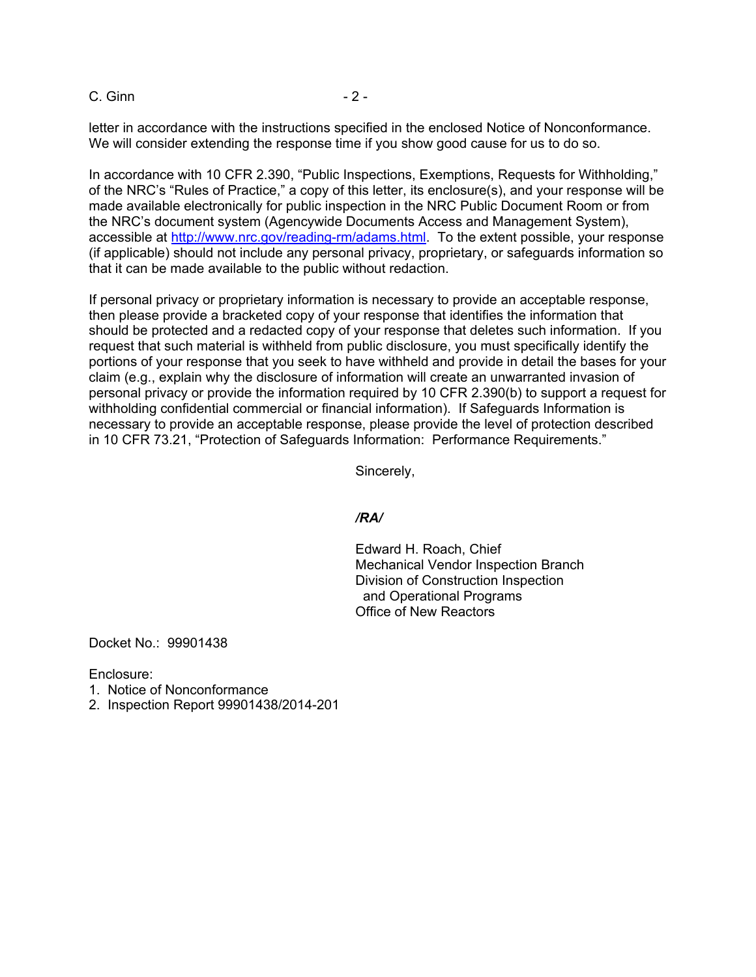C. Ginn - 2 -

letter in accordance with the instructions specified in the enclosed Notice of Nonconformance. We will consider extending the response time if you show good cause for us to do so.

In accordance with 10 CFR 2.390, "Public Inspections, Exemptions, Requests for Withholding," of the NRC's "Rules of Practice," a copy of this letter, its enclosure(s), and your response will be made available electronically for public inspection in the NRC Public Document Room or from the NRC's document system (Agencywide Documents Access and Management System), accessible at http://www.nrc.gov/reading-rm/adams.html. To the extent possible, your response (if applicable) should not include any personal privacy, proprietary, or safeguards information so that it can be made available to the public without redaction.

If personal privacy or proprietary information is necessary to provide an acceptable response, then please provide a bracketed copy of your response that identifies the information that should be protected and a redacted copy of your response that deletes such information. If you request that such material is withheld from public disclosure, you must specifically identify the portions of your response that you seek to have withheld and provide in detail the bases for your claim (e.g., explain why the disclosure of information will create an unwarranted invasion of personal privacy or provide the information required by 10 CFR 2.390(b) to support a request for withholding confidential commercial or financial information). If Safeguards Information is necessary to provide an acceptable response, please provide the level of protection described in 10 CFR 73.21, "Protection of Safeguards Information: Performance Requirements."

Sincerely,

#### */RA/*

Edward H. Roach, Chief Mechanical Vendor Inspection Branch Division of Construction Inspection and Operational Programs Office of New Reactors

Docket No.: 99901438

Enclosure:

- 1. Notice of Nonconformance
- 2. Inspection Report 99901438/2014-201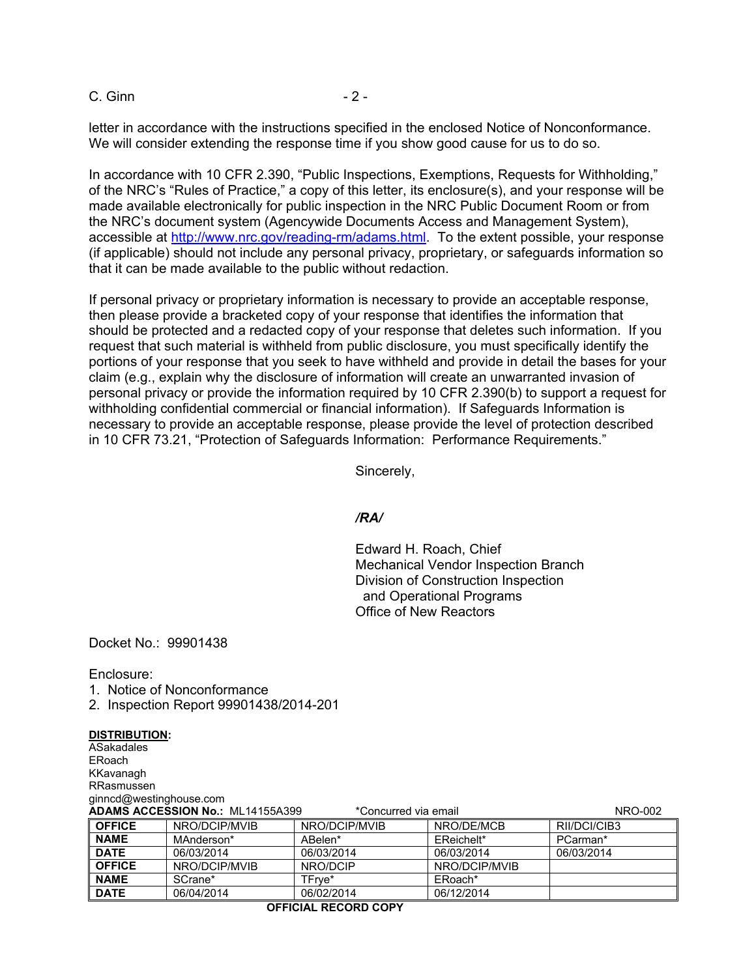C. Ginn - 2 -

letter in accordance with the instructions specified in the enclosed Notice of Nonconformance. We will consider extending the response time if you show good cause for us to do so.

In accordance with 10 CFR 2.390, "Public Inspections, Exemptions, Requests for Withholding," of the NRC's "Rules of Practice," a copy of this letter, its enclosure(s), and your response will be made available electronically for public inspection in the NRC Public Document Room or from the NRC's document system (Agencywide Documents Access and Management System), accessible at http://www.nrc.gov/reading-rm/adams.html. To the extent possible, your response (if applicable) should not include any personal privacy, proprietary, or safeguards information so that it can be made available to the public without redaction.

If personal privacy or proprietary information is necessary to provide an acceptable response, then please provide a bracketed copy of your response that identifies the information that should be protected and a redacted copy of your response that deletes such information. If you request that such material is withheld from public disclosure, you must specifically identify the portions of your response that you seek to have withheld and provide in detail the bases for your claim (e.g., explain why the disclosure of information will create an unwarranted invasion of personal privacy or provide the information required by 10 CFR 2.390(b) to support a request for withholding confidential commercial or financial information). If Safeguards Information is necessary to provide an acceptable response, please provide the level of protection described in 10 CFR 73.21, "Protection of Safeguards Information: Performance Requirements."

Sincerely,

#### */RA/*

Edward H. Roach, Chief Mechanical Vendor Inspection Branch Division of Construction Inspection and Operational Programs Office of New Reactors

Docket No.: 99901438

Enclosure:

1. Notice of Nonconformance

2. Inspection Report 99901438/2014-201

#### **DISTRIBUTION:**

**ASakadales** ERoach KKavanagh RRasmussen ginncd@westinghouse.com

| <b>ADAMS ACCESSION No.: ML14155A399</b><br>*Concurred via email |               |               |               | NRO-002      |
|-----------------------------------------------------------------|---------------|---------------|---------------|--------------|
| <b>OFFICE</b>                                                   | NRO/DCIP/MVIB | NRO/DCIP/MVIB | NRO/DE/MCB    | RII/DCI/CIB3 |
| <b>NAME</b>                                                     | MAnderson*    | ABelen*       | EReichelt*    | PCarman*     |
| <b>DATE</b>                                                     | 06/03/2014    | 06/03/2014    | 06/03/2014    | 06/03/2014   |
| <b>OFFICE</b>                                                   | NRO/DCIP/MVIB | NRO/DCIP      | NRO/DCIP/MVIB |              |
| <b>NAME</b>                                                     | SCrane*       | TFrve*        | ERoach*       |              |
| <b>DATE</b>                                                     | 06/04/2014    | 06/02/2014    | 06/12/2014    |              |

#### **OFFICIAL RECORD COPY**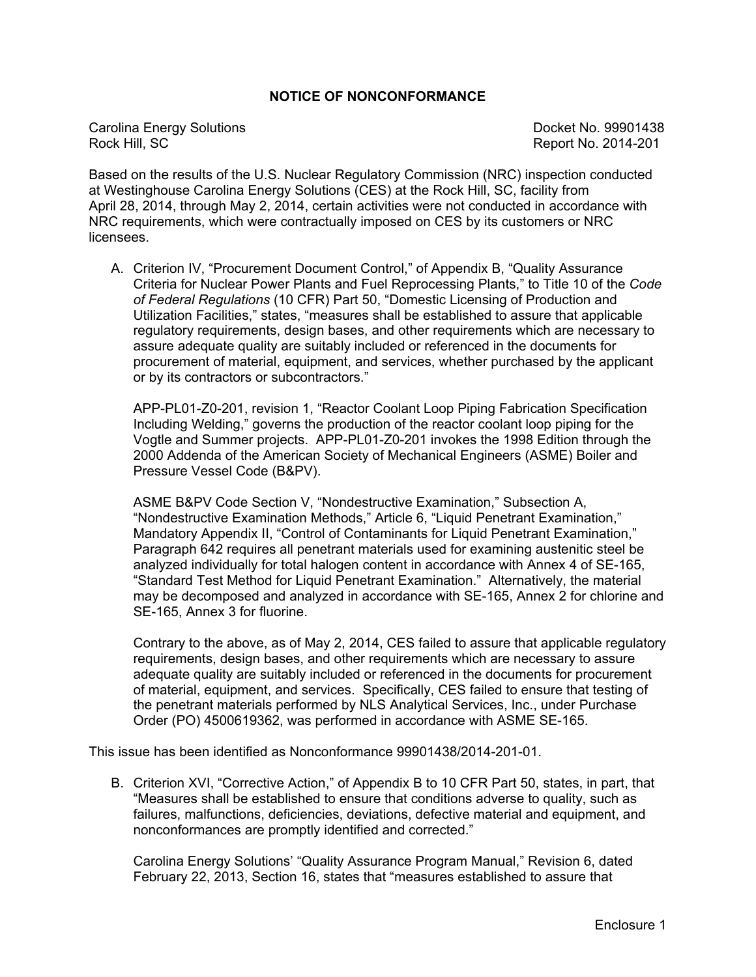## **NOTICE OF NONCONFORMANCE**

Carolina Energy Solutions<br>
Rock Hill. SC 80001438<br>
Rock Hill. SC

Report No. 2014-201

Based on the results of the U.S. Nuclear Regulatory Commission (NRC) inspection conducted at Westinghouse Carolina Energy Solutions (CES) at the Rock Hill, SC, facility from April 28, 2014, through May 2, 2014, certain activities were not conducted in accordance with NRC requirements, which were contractually imposed on CES by its customers or NRC licensees.

A. Criterion IV, "Procurement Document Control," of Appendix B, "Quality Assurance Criteria for Nuclear Power Plants and Fuel Reprocessing Plants," to Title 10 of the *Code of Federal Regulations* (10 CFR) Part 50, "Domestic Licensing of Production and Utilization Facilities," states, "measures shall be established to assure that applicable regulatory requirements, design bases, and other requirements which are necessary to assure adequate quality are suitably included or referenced in the documents for procurement of material, equipment, and services, whether purchased by the applicant or by its contractors or subcontractors."

APP-PL01-Z0-201, revision 1, "Reactor Coolant Loop Piping Fabrication Specification Including Welding," governs the production of the reactor coolant loop piping for the Vogtle and Summer projects. APP-PL01-Z0-201 invokes the 1998 Edition through the 2000 Addenda of the American Society of Mechanical Engineers (ASME) Boiler and Pressure Vessel Code (B&PV).

ASME B&PV Code Section V, "Nondestructive Examination," Subsection A, "Nondestructive Examination Methods," Article 6, "Liquid Penetrant Examination," Mandatory Appendix II, "Control of Contaminants for Liquid Penetrant Examination," Paragraph 642 requires all penetrant materials used for examining austenitic steel be analyzed individually for total halogen content in accordance with Annex 4 of SE-165, "Standard Test Method for Liquid Penetrant Examination." Alternatively, the material may be decomposed and analyzed in accordance with SE-165, Annex 2 for chlorine and SE-165, Annex 3 for fluorine.

Contrary to the above, as of May 2, 2014, CES failed to assure that applicable regulatory requirements, design bases, and other requirements which are necessary to assure adequate quality are suitably included or referenced in the documents for procurement of material, equipment, and services. Specifically, CES failed to ensure that testing of the penetrant materials performed by NLS Analytical Services, Inc., under Purchase Order (PO) 4500619362, was performed in accordance with ASME SE-165.

This issue has been identified as Nonconformance 99901438/2014-201-01.

B. Criterion XVI, "Corrective Action," of Appendix B to 10 CFR Part 50, states, in part, that "Measures shall be established to ensure that conditions adverse to quality, such as failures, malfunctions, deficiencies, deviations, defective material and equipment, and nonconformances are promptly identified and corrected."

Carolina Energy Solutions' "Quality Assurance Program Manual," Revision 6, dated February 22, 2013, Section 16, states that "measures established to assure that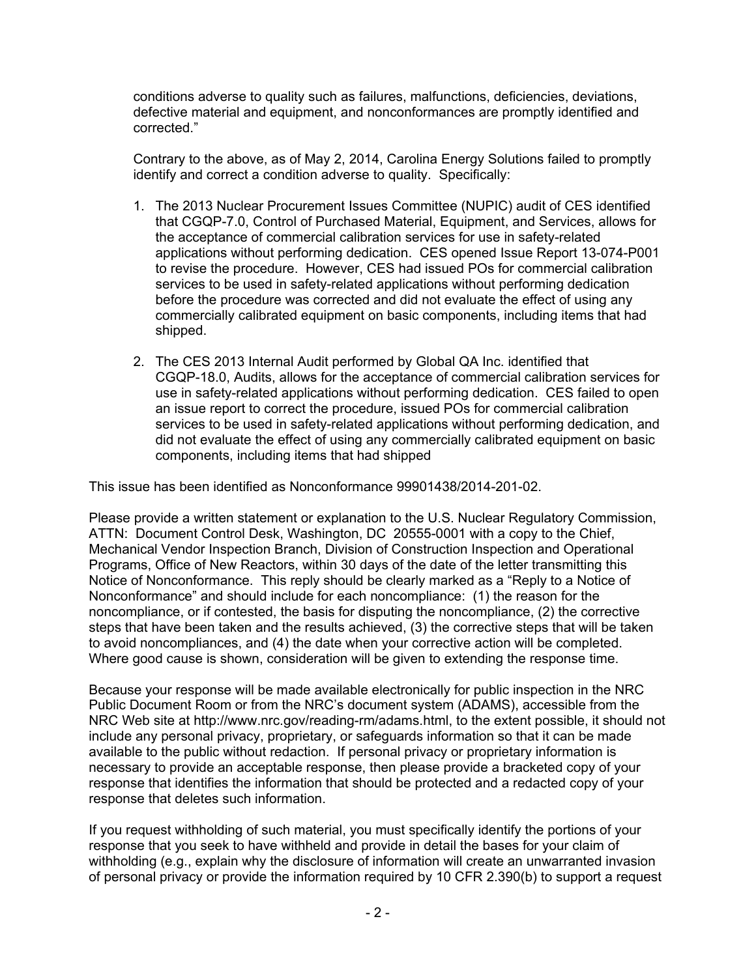conditions adverse to quality such as failures, malfunctions, deficiencies, deviations, defective material and equipment, and nonconformances are promptly identified and corrected."

Contrary to the above, as of May 2, 2014, Carolina Energy Solutions failed to promptly identify and correct a condition adverse to quality. Specifically:

- 1. The 2013 Nuclear Procurement Issues Committee (NUPIC) audit of CES identified that CGQP-7.0, Control of Purchased Material, Equipment, and Services, allows for the acceptance of commercial calibration services for use in safety-related applications without performing dedication. CES opened Issue Report 13-074-P001 to revise the procedure. However, CES had issued POs for commercial calibration services to be used in safety-related applications without performing dedication before the procedure was corrected and did not evaluate the effect of using any commercially calibrated equipment on basic components, including items that had shipped.
- 2. The CES 2013 Internal Audit performed by Global QA Inc. identified that CGQP-18.0, Audits, allows for the acceptance of commercial calibration services for use in safety-related applications without performing dedication. CES failed to open an issue report to correct the procedure, issued POs for commercial calibration services to be used in safety-related applications without performing dedication, and did not evaluate the effect of using any commercially calibrated equipment on basic components, including items that had shipped

This issue has been identified as Nonconformance 99901438/2014-201-02.

Please provide a written statement or explanation to the U.S. Nuclear Regulatory Commission, ATTN: Document Control Desk, Washington, DC 20555-0001 with a copy to the Chief, Mechanical Vendor Inspection Branch, Division of Construction Inspection and Operational Programs, Office of New Reactors, within 30 days of the date of the letter transmitting this Notice of Nonconformance. This reply should be clearly marked as a "Reply to a Notice of Nonconformance" and should include for each noncompliance: (1) the reason for the noncompliance, or if contested, the basis for disputing the noncompliance, (2) the corrective steps that have been taken and the results achieved, (3) the corrective steps that will be taken to avoid noncompliances, and (4) the date when your corrective action will be completed. Where good cause is shown, consideration will be given to extending the response time.

Because your response will be made available electronically for public inspection in the NRC Public Document Room or from the NRC's document system (ADAMS), accessible from the NRC Web site at http://www.nrc.gov/reading-rm/adams.html, to the extent possible, it should not include any personal privacy, proprietary, or safeguards information so that it can be made available to the public without redaction. If personal privacy or proprietary information is necessary to provide an acceptable response, then please provide a bracketed copy of your response that identifies the information that should be protected and a redacted copy of your response that deletes such information.

If you request withholding of such material, you must specifically identify the portions of your response that you seek to have withheld and provide in detail the bases for your claim of withholding (e.g., explain why the disclosure of information will create an unwarranted invasion of personal privacy or provide the information required by 10 CFR 2.390(b) to support a request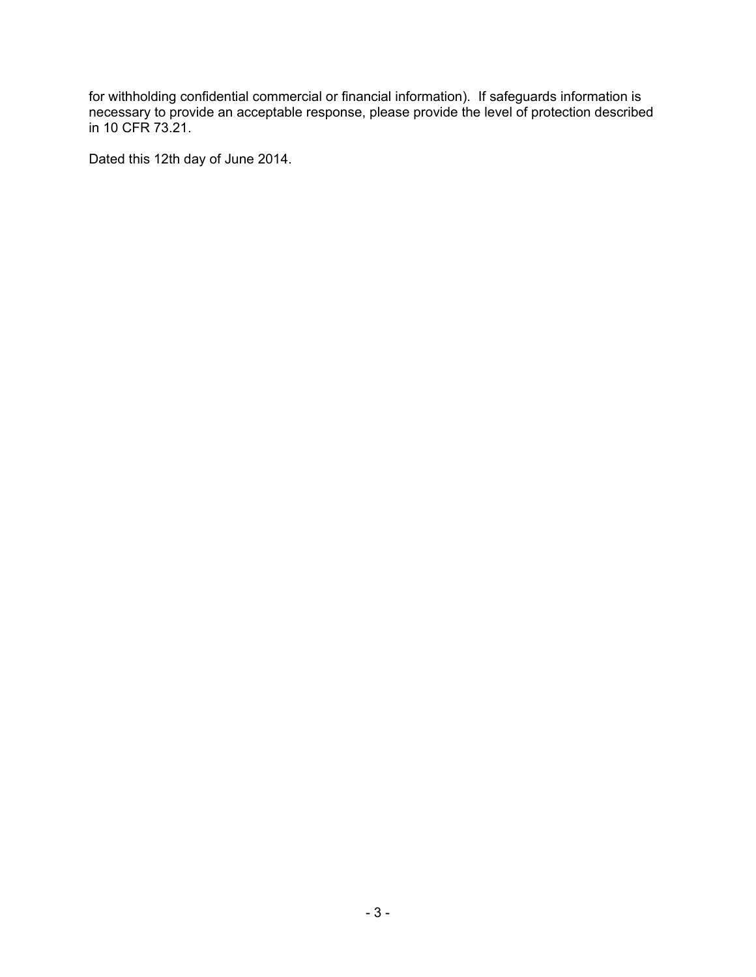for withholding confidential commercial or financial information). If safeguards information is necessary to provide an acceptable response, please provide the level of protection described in 10 CFR 73.21.

Dated this 12th day of June 2014.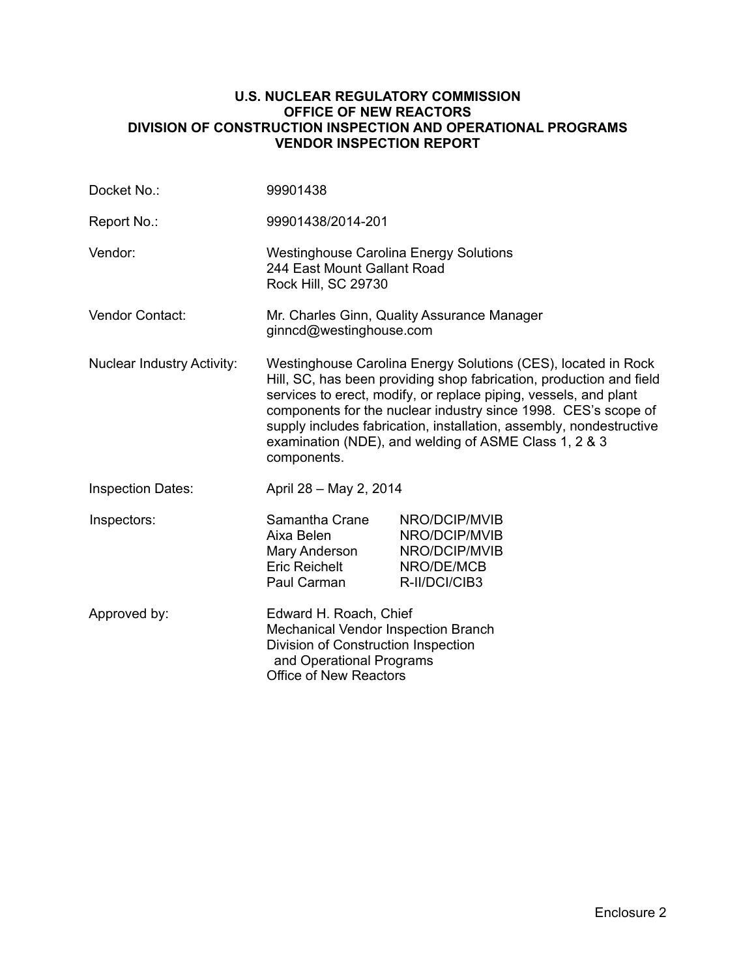#### **U.S. NUCLEAR REGULATORY COMMISSION OFFICE OF NEW REACTORS DIVISION OF CONSTRUCTION INSPECTION AND OPERATIONAL PROGRAMS VENDOR INSPECTION REPORT**

| Docket No.:                       | 99901438                                                                                                                                                                                                                                                                                                                                                                                                                  |                                                                                |  |
|-----------------------------------|---------------------------------------------------------------------------------------------------------------------------------------------------------------------------------------------------------------------------------------------------------------------------------------------------------------------------------------------------------------------------------------------------------------------------|--------------------------------------------------------------------------------|--|
| Report No.:                       | 99901438/2014-201                                                                                                                                                                                                                                                                                                                                                                                                         |                                                                                |  |
| Vendor:                           | <b>Westinghouse Carolina Energy Solutions</b><br>244 East Mount Gallant Road<br><b>Rock Hill, SC 29730</b>                                                                                                                                                                                                                                                                                                                |                                                                                |  |
| <b>Vendor Contact:</b>            | Mr. Charles Ginn, Quality Assurance Manager<br>ginncd@westinghouse.com                                                                                                                                                                                                                                                                                                                                                    |                                                                                |  |
| <b>Nuclear Industry Activity:</b> | Westinghouse Carolina Energy Solutions (CES), located in Rock<br>Hill, SC, has been providing shop fabrication, production and field<br>services to erect, modify, or replace piping, vessels, and plant<br>components for the nuclear industry since 1998. CES's scope of<br>supply includes fabrication, installation, assembly, nondestructive<br>examination (NDE), and welding of ASME Class 1, 2 & 3<br>components. |                                                                                |  |
| <b>Inspection Dates:</b>          | April 28 - May 2, 2014                                                                                                                                                                                                                                                                                                                                                                                                    |                                                                                |  |
| Inspectors:                       | Samantha Crane<br>Aixa Belen<br>Mary Anderson<br><b>Eric Reichelt</b><br>Paul Carman                                                                                                                                                                                                                                                                                                                                      | NRO/DCIP/MVIB<br>NRO/DCIP/MVIB<br>NRO/DCIP/MVIB<br>NRO/DE/MCB<br>R-II/DCI/CIB3 |  |
| Approved by:                      | Edward H. Roach, Chief<br>Mechanical Vendor Inspection Branch<br>Division of Construction Inspection<br>and Operational Programs<br><b>Office of New Reactors</b>                                                                                                                                                                                                                                                         |                                                                                |  |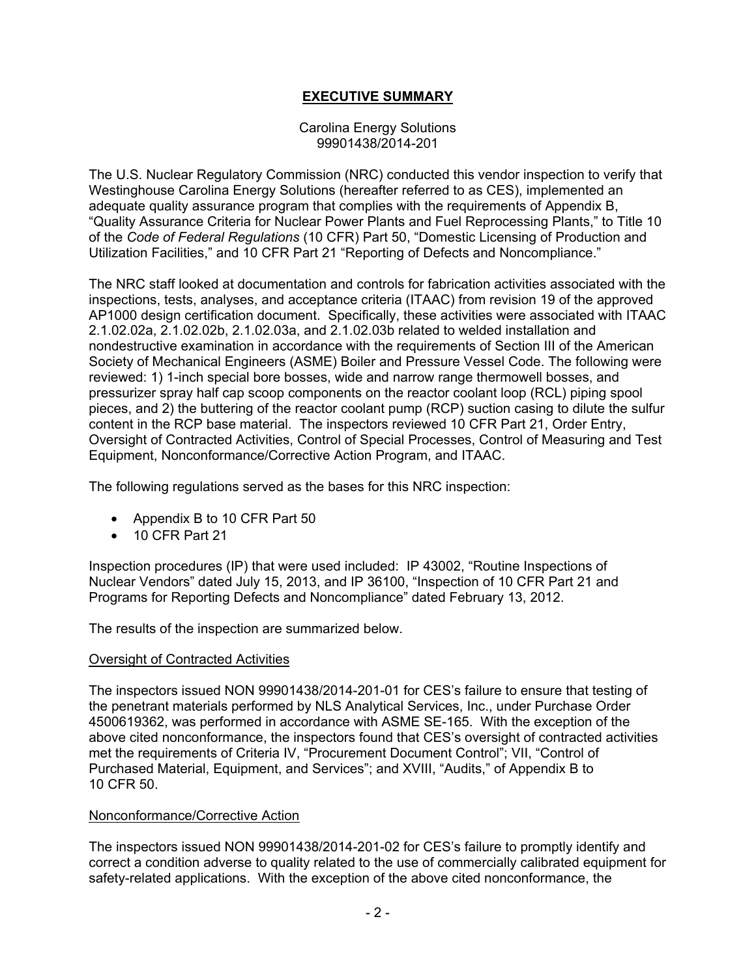## **EXECUTIVE SUMMARY**

#### Carolina Energy Solutions 99901438/2014-201

The U.S. Nuclear Regulatory Commission (NRC) conducted this vendor inspection to verify that Westinghouse Carolina Energy Solutions (hereafter referred to as CES), implemented an adequate quality assurance program that complies with the requirements of Appendix B, "Quality Assurance Criteria for Nuclear Power Plants and Fuel Reprocessing Plants," to Title 10 of the *Code of Federal Regulations* (10 CFR) Part 50, "Domestic Licensing of Production and Utilization Facilities," and 10 CFR Part 21 "Reporting of Defects and Noncompliance."

The NRC staff looked at documentation and controls for fabrication activities associated with the inspections, tests, analyses, and acceptance criteria (ITAAC) from revision 19 of the approved AP1000 design certification document. Specifically, these activities were associated with ITAAC 2.1.02.02a, 2.1.02.02b, 2.1.02.03a, and 2.1.02.03b related to welded installation and nondestructive examination in accordance with the requirements of Section III of the American Society of Mechanical Engineers (ASME) Boiler and Pressure Vessel Code. The following were reviewed: 1) 1-inch special bore bosses, wide and narrow range thermowell bosses, and pressurizer spray half cap scoop components on the reactor coolant loop (RCL) piping spool pieces, and 2) the buttering of the reactor coolant pump (RCP) suction casing to dilute the sulfur content in the RCP base material. The inspectors reviewed 10 CFR Part 21, Order Entry, Oversight of Contracted Activities, Control of Special Processes, Control of Measuring and Test Equipment, Nonconformance/Corrective Action Program, and ITAAC.

The following regulations served as the bases for this NRC inspection:

- Appendix B to 10 CFR Part 50
- 10 CFR Part 21

Inspection procedures (IP) that were used included: IP 43002, "Routine Inspections of Nuclear Vendors" dated July 15, 2013, and IP 36100, "Inspection of 10 CFR Part 21 and Programs for Reporting Defects and Noncompliance" dated February 13, 2012.

The results of the inspection are summarized below.

## Oversight of Contracted Activities

The inspectors issued NON 99901438/2014-201-01 for CES's failure to ensure that testing of the penetrant materials performed by NLS Analytical Services, Inc., under Purchase Order 4500619362, was performed in accordance with ASME SE-165. With the exception of the above cited nonconformance, the inspectors found that CES's oversight of contracted activities met the requirements of Criteria IV, "Procurement Document Control"; VII, "Control of Purchased Material, Equipment, and Services"; and XVIII, "Audits," of Appendix B to 10 CFR 50.

## Nonconformance/Corrective Action

The inspectors issued NON 99901438/2014-201-02 for CES's failure to promptly identify and correct a condition adverse to quality related to the use of commercially calibrated equipment for safety-related applications. With the exception of the above cited nonconformance, the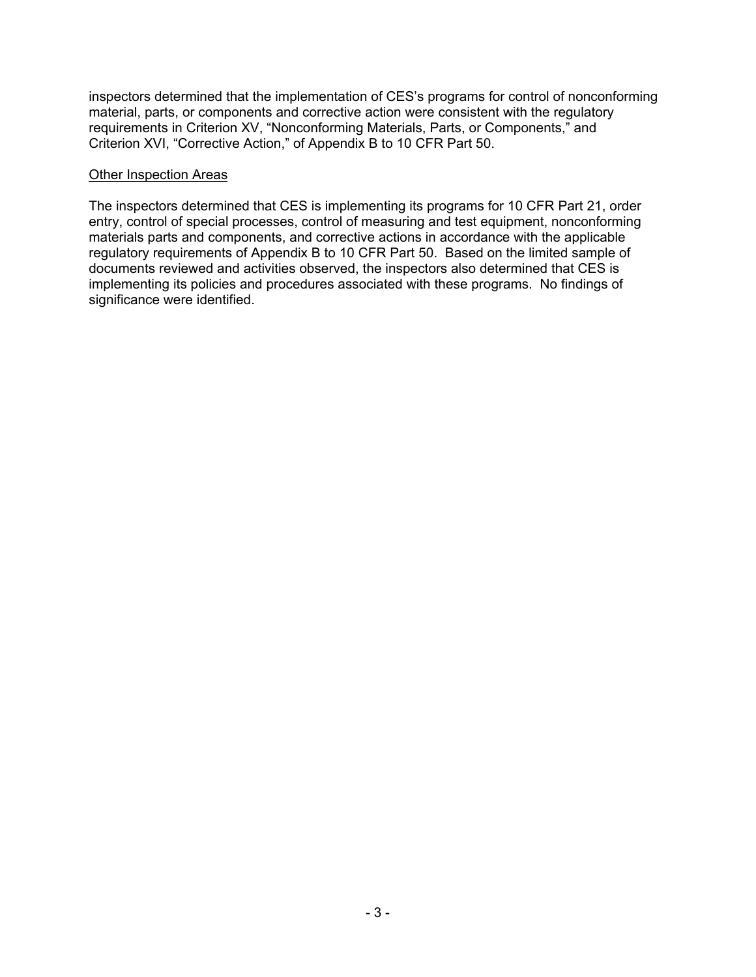inspectors determined that the implementation of CES's programs for control of nonconforming material, parts, or components and corrective action were consistent with the regulatory requirements in Criterion XV, "Nonconforming Materials, Parts, or Components," and Criterion XVI, "Corrective Action," of Appendix B to 10 CFR Part 50.

### Other Inspection Areas

The inspectors determined that CES is implementing its programs for 10 CFR Part 21, order entry, control of special processes, control of measuring and test equipment, nonconforming materials parts and components, and corrective actions in accordance with the applicable regulatory requirements of Appendix B to 10 CFR Part 50. Based on the limited sample of documents reviewed and activities observed, the inspectors also determined that CES is implementing its policies and procedures associated with these programs. No findings of significance were identified.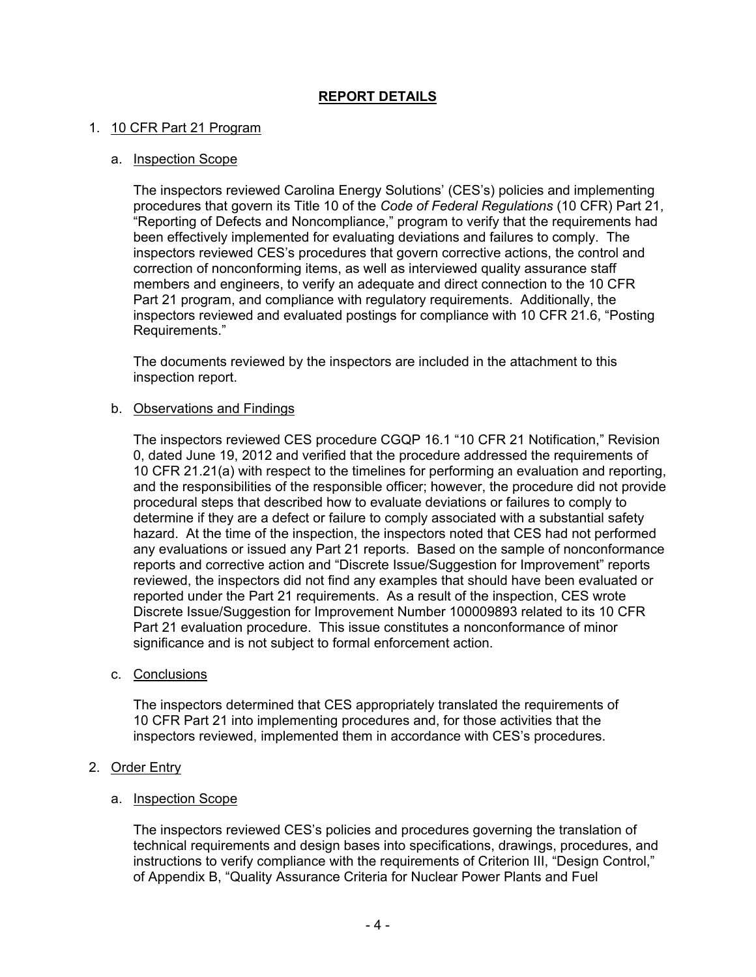## **REPORT DETAILS**

### 1. 10 CFR Part 21 Program

#### a. Inspection Scope

The inspectors reviewed Carolina Energy Solutions' (CES's) policies and implementing procedures that govern its Title 10 of the *Code of Federal Regulations* (10 CFR) Part 21, "Reporting of Defects and Noncompliance," program to verify that the requirements had been effectively implemented for evaluating deviations and failures to comply. The inspectors reviewed CES's procedures that govern corrective actions, the control and correction of nonconforming items, as well as interviewed quality assurance staff members and engineers, to verify an adequate and direct connection to the 10 CFR Part 21 program, and compliance with regulatory requirements. Additionally, the inspectors reviewed and evaluated postings for compliance with 10 CFR 21.6, "Posting Requirements."

The documents reviewed by the inspectors are included in the attachment to this inspection report.

#### b. Observations and Findings

The inspectors reviewed CES procedure CGQP 16.1 "10 CFR 21 Notification," Revision 0, dated June 19, 2012 and verified that the procedure addressed the requirements of 10 CFR 21.21(a) with respect to the timelines for performing an evaluation and reporting, and the responsibilities of the responsible officer; however, the procedure did not provide procedural steps that described how to evaluate deviations or failures to comply to determine if they are a defect or failure to comply associated with a substantial safety hazard. At the time of the inspection, the inspectors noted that CES had not performed any evaluations or issued any Part 21 reports. Based on the sample of nonconformance reports and corrective action and "Discrete Issue/Suggestion for Improvement" reports reviewed, the inspectors did not find any examples that should have been evaluated or reported under the Part 21 requirements. As a result of the inspection, CES wrote Discrete Issue/Suggestion for Improvement Number 100009893 related to its 10 CFR Part 21 evaluation procedure. This issue constitutes a nonconformance of minor significance and is not subject to formal enforcement action.

#### c. Conclusions

The inspectors determined that CES appropriately translated the requirements of 10 CFR Part 21 into implementing procedures and, for those activities that the inspectors reviewed, implemented them in accordance with CES's procedures.

#### 2. Order Entry

#### a. Inspection Scope

The inspectors reviewed CES's policies and procedures governing the translation of technical requirements and design bases into specifications, drawings, procedures, and instructions to verify compliance with the requirements of Criterion III, "Design Control," of Appendix B, "Quality Assurance Criteria for Nuclear Power Plants and Fuel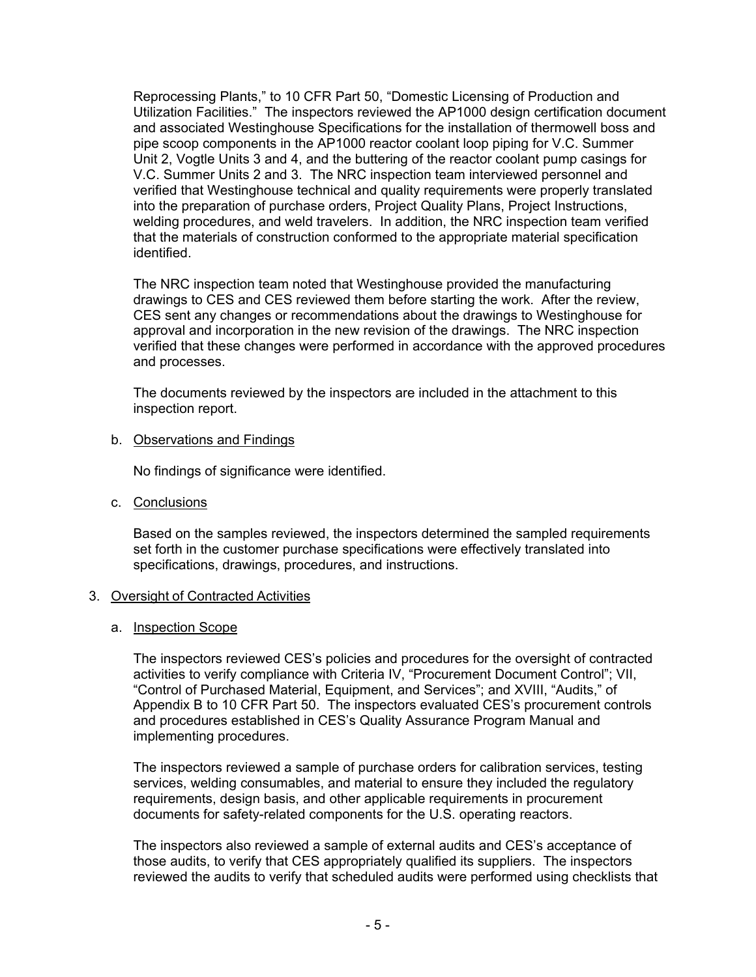Reprocessing Plants," to 10 CFR Part 50, "Domestic Licensing of Production and Utilization Facilities." The inspectors reviewed the AP1000 design certification document and associated Westinghouse Specifications for the installation of thermowell boss and pipe scoop components in the AP1000 reactor coolant loop piping for V.C. Summer Unit 2, Vogtle Units 3 and 4, and the buttering of the reactor coolant pump casings for V.C. Summer Units 2 and 3. The NRC inspection team interviewed personnel and verified that Westinghouse technical and quality requirements were properly translated into the preparation of purchase orders, Project Quality Plans, Project Instructions, welding procedures, and weld travelers. In addition, the NRC inspection team verified that the materials of construction conformed to the appropriate material specification identified.

The NRC inspection team noted that Westinghouse provided the manufacturing drawings to CES and CES reviewed them before starting the work. After the review, CES sent any changes or recommendations about the drawings to Westinghouse for approval and incorporation in the new revision of the drawings. The NRC inspection verified that these changes were performed in accordance with the approved procedures and processes.

The documents reviewed by the inspectors are included in the attachment to this inspection report.

### b. Observations and Findings

No findings of significance were identified.

c. Conclusions

Based on the samples reviewed, the inspectors determined the sampled requirements set forth in the customer purchase specifications were effectively translated into specifications, drawings, procedures, and instructions.

## 3. Oversight of Contracted Activities

#### a. Inspection Scope

The inspectors reviewed CES's policies and procedures for the oversight of contracted activities to verify compliance with Criteria IV, "Procurement Document Control"; VII, "Control of Purchased Material, Equipment, and Services"; and XVIII, "Audits," of Appendix B to 10 CFR Part 50. The inspectors evaluated CES's procurement controls and procedures established in CES's Quality Assurance Program Manual and implementing procedures.

The inspectors reviewed a sample of purchase orders for calibration services, testing services, welding consumables, and material to ensure they included the regulatory requirements, design basis, and other applicable requirements in procurement documents for safety-related components for the U.S. operating reactors.

The inspectors also reviewed a sample of external audits and CES's acceptance of those audits, to verify that CES appropriately qualified its suppliers. The inspectors reviewed the audits to verify that scheduled audits were performed using checklists that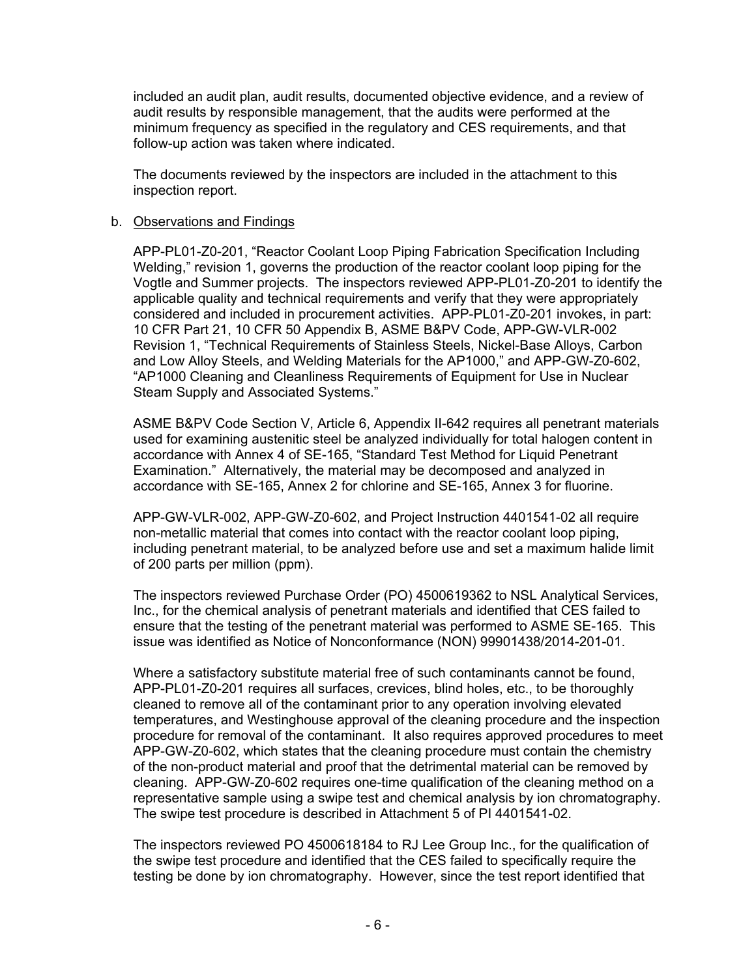included an audit plan, audit results, documented objective evidence, and a review of audit results by responsible management, that the audits were performed at the minimum frequency as specified in the regulatory and CES requirements, and that follow-up action was taken where indicated.

The documents reviewed by the inspectors are included in the attachment to this inspection report.

#### b. Observations and Findings

APP-PL01-Z0-201, "Reactor Coolant Loop Piping Fabrication Specification Including Welding," revision 1, governs the production of the reactor coolant loop piping for the Vogtle and Summer projects. The inspectors reviewed APP-PL01-Z0-201 to identify the applicable quality and technical requirements and verify that they were appropriately considered and included in procurement activities. APP-PL01-Z0-201 invokes, in part: 10 CFR Part 21, 10 CFR 50 Appendix B, ASME B&PV Code, APP-GW-VLR-002 Revision 1, "Technical Requirements of Stainless Steels, Nickel-Base Alloys, Carbon and Low Alloy Steels, and Welding Materials for the AP1000," and APP-GW-Z0-602, "AP1000 Cleaning and Cleanliness Requirements of Equipment for Use in Nuclear Steam Supply and Associated Systems."

ASME B&PV Code Section V, Article 6, Appendix II-642 requires all penetrant materials used for examining austenitic steel be analyzed individually for total halogen content in accordance with Annex 4 of SE-165, "Standard Test Method for Liquid Penetrant Examination." Alternatively, the material may be decomposed and analyzed in accordance with SE-165, Annex 2 for chlorine and SE-165, Annex 3 for fluorine.

APP-GW-VLR-002, APP-GW-Z0-602, and Project Instruction 4401541-02 all require non-metallic material that comes into contact with the reactor coolant loop piping, including penetrant material, to be analyzed before use and set a maximum halide limit of 200 parts per million (ppm).

The inspectors reviewed Purchase Order (PO) 4500619362 to NSL Analytical Services, Inc., for the chemical analysis of penetrant materials and identified that CES failed to ensure that the testing of the penetrant material was performed to ASME SE-165. This issue was identified as Notice of Nonconformance (NON) 99901438/2014-201-01.

Where a satisfactory substitute material free of such contaminants cannot be found, APP-PL01-Z0-201 requires all surfaces, crevices, blind holes, etc., to be thoroughly cleaned to remove all of the contaminant prior to any operation involving elevated temperatures, and Westinghouse approval of the cleaning procedure and the inspection procedure for removal of the contaminant. It also requires approved procedures to meet APP-GW-Z0-602, which states that the cleaning procedure must contain the chemistry of the non-product material and proof that the detrimental material can be removed by cleaning. APP-GW-Z0-602 requires one-time qualification of the cleaning method on a representative sample using a swipe test and chemical analysis by ion chromatography. The swipe test procedure is described in Attachment 5 of PI 4401541-02.

The inspectors reviewed PO 4500618184 to RJ Lee Group Inc., for the qualification of the swipe test procedure and identified that the CES failed to specifically require the testing be done by ion chromatography. However, since the test report identified that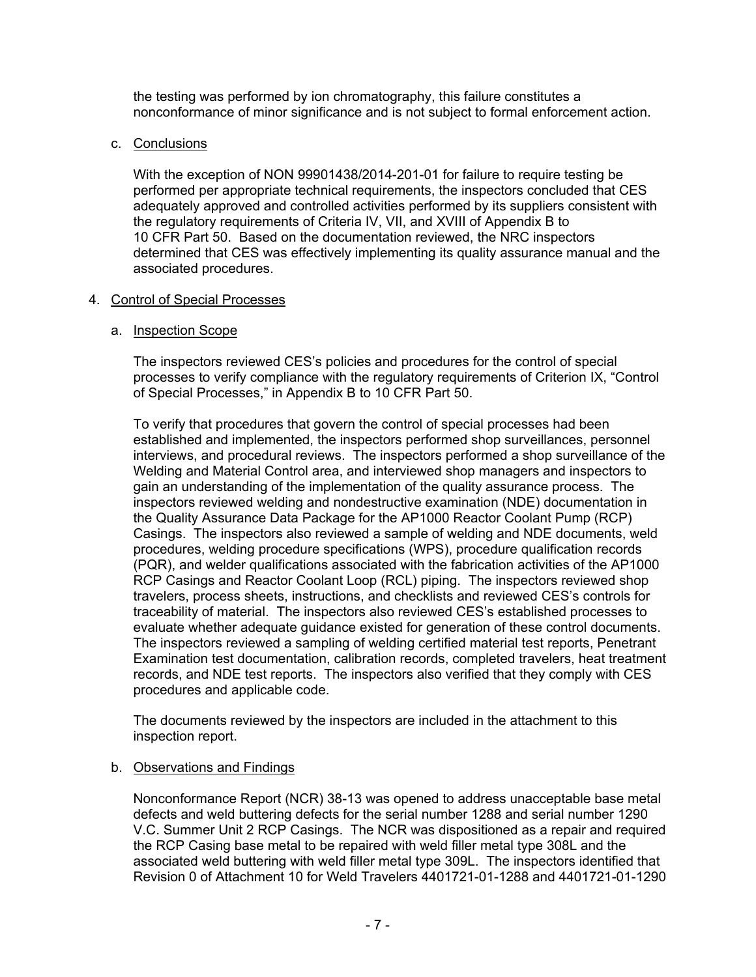the testing was performed by ion chromatography, this failure constitutes a nonconformance of minor significance and is not subject to formal enforcement action.

## c. Conclusions

With the exception of NON 99901438/2014-201-01 for failure to require testing be performed per appropriate technical requirements, the inspectors concluded that CES adequately approved and controlled activities performed by its suppliers consistent with the regulatory requirements of Criteria IV, VII, and XVIII of Appendix B to 10 CFR Part 50. Based on the documentation reviewed, the NRC inspectors determined that CES was effectively implementing its quality assurance manual and the associated procedures.

## 4. Control of Special Processes

## a. Inspection Scope

The inspectors reviewed CES's policies and procedures for the control of special processes to verify compliance with the regulatory requirements of Criterion IX, "Control of Special Processes," in Appendix B to 10 CFR Part 50.

To verify that procedures that govern the control of special processes had been established and implemented, the inspectors performed shop surveillances, personnel interviews, and procedural reviews. The inspectors performed a shop surveillance of the Welding and Material Control area, and interviewed shop managers and inspectors to gain an understanding of the implementation of the quality assurance process. The inspectors reviewed welding and nondestructive examination (NDE) documentation in the Quality Assurance Data Package for the AP1000 Reactor Coolant Pump (RCP) Casings. The inspectors also reviewed a sample of welding and NDE documents, weld procedures, welding procedure specifications (WPS), procedure qualification records (PQR), and welder qualifications associated with the fabrication activities of the AP1000 RCP Casings and Reactor Coolant Loop (RCL) piping. The inspectors reviewed shop travelers, process sheets, instructions, and checklists and reviewed CES's controls for traceability of material. The inspectors also reviewed CES's established processes to evaluate whether adequate guidance existed for generation of these control documents. The inspectors reviewed a sampling of welding certified material test reports, Penetrant Examination test documentation, calibration records, completed travelers, heat treatment records, and NDE test reports. The inspectors also verified that they comply with CES procedures and applicable code.

The documents reviewed by the inspectors are included in the attachment to this inspection report.

## b. Observations and Findings

Nonconformance Report (NCR) 38-13 was opened to address unacceptable base metal defects and weld buttering defects for the serial number 1288 and serial number 1290 V.C. Summer Unit 2 RCP Casings. The NCR was dispositioned as a repair and required the RCP Casing base metal to be repaired with weld filler metal type 308L and the associated weld buttering with weld filler metal type 309L. The inspectors identified that Revision 0 of Attachment 10 for Weld Travelers 4401721-01-1288 and 4401721-01-1290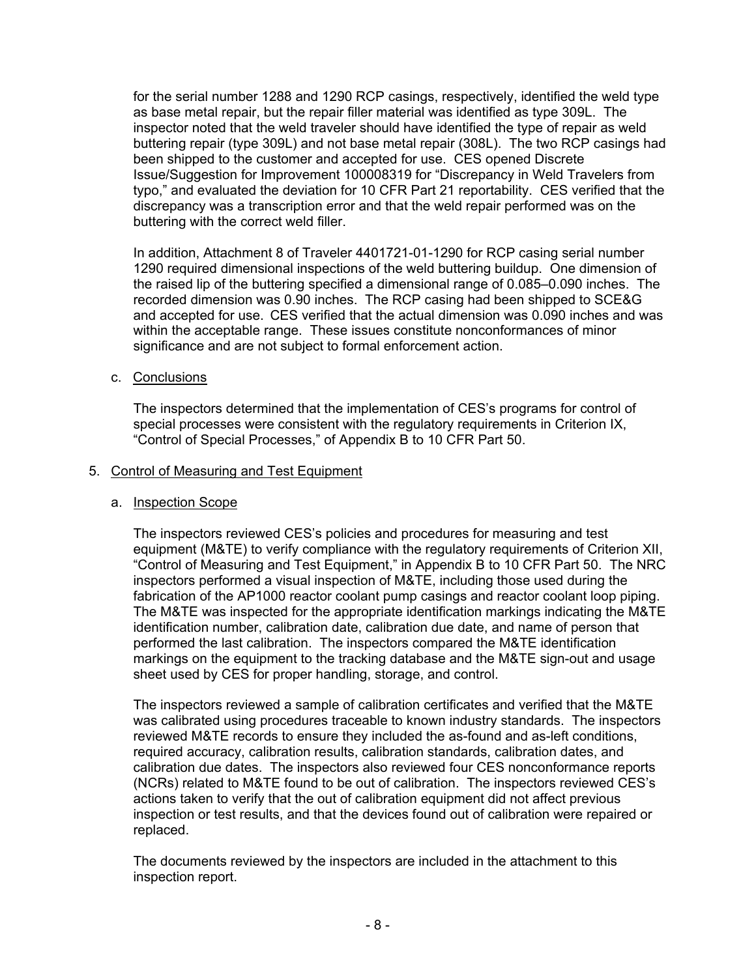for the serial number 1288 and 1290 RCP casings, respectively, identified the weld type as base metal repair, but the repair filler material was identified as type 309L. The inspector noted that the weld traveler should have identified the type of repair as weld buttering repair (type 309L) and not base metal repair (308L). The two RCP casings had been shipped to the customer and accepted for use. CES opened Discrete Issue/Suggestion for Improvement 100008319 for "Discrepancy in Weld Travelers from typo," and evaluated the deviation for 10 CFR Part 21 reportability. CES verified that the discrepancy was a transcription error and that the weld repair performed was on the buttering with the correct weld filler.

In addition, Attachment 8 of Traveler 4401721-01-1290 for RCP casing serial number 1290 required dimensional inspections of the weld buttering buildup. One dimension of the raised lip of the buttering specified a dimensional range of 0.085–0.090 inches. The recorded dimension was 0.90 inches. The RCP casing had been shipped to SCE&G and accepted for use. CES verified that the actual dimension was 0.090 inches and was within the acceptable range. These issues constitute nonconformances of minor significance and are not subject to formal enforcement action.

### c. Conclusions

The inspectors determined that the implementation of CES's programs for control of special processes were consistent with the regulatory requirements in Criterion IX, "Control of Special Processes," of Appendix B to 10 CFR Part 50.

### 5. Control of Measuring and Test Equipment

#### a. Inspection Scope

The inspectors reviewed CES's policies and procedures for measuring and test equipment (M&TE) to verify compliance with the regulatory requirements of Criterion XII, "Control of Measuring and Test Equipment," in Appendix B to 10 CFR Part 50. The NRC inspectors performed a visual inspection of M&TE, including those used during the fabrication of the AP1000 reactor coolant pump casings and reactor coolant loop piping. The M&TE was inspected for the appropriate identification markings indicating the M&TE identification number, calibration date, calibration due date, and name of person that performed the last calibration. The inspectors compared the M&TE identification markings on the equipment to the tracking database and the M&TE sign-out and usage sheet used by CES for proper handling, storage, and control.

The inspectors reviewed a sample of calibration certificates and verified that the M&TE was calibrated using procedures traceable to known industry standards. The inspectors reviewed M&TE records to ensure they included the as-found and as-left conditions, required accuracy, calibration results, calibration standards, calibration dates, and calibration due dates. The inspectors also reviewed four CES nonconformance reports (NCRs) related to M&TE found to be out of calibration. The inspectors reviewed CES's actions taken to verify that the out of calibration equipment did not affect previous inspection or test results, and that the devices found out of calibration were repaired or replaced.

The documents reviewed by the inspectors are included in the attachment to this inspection report.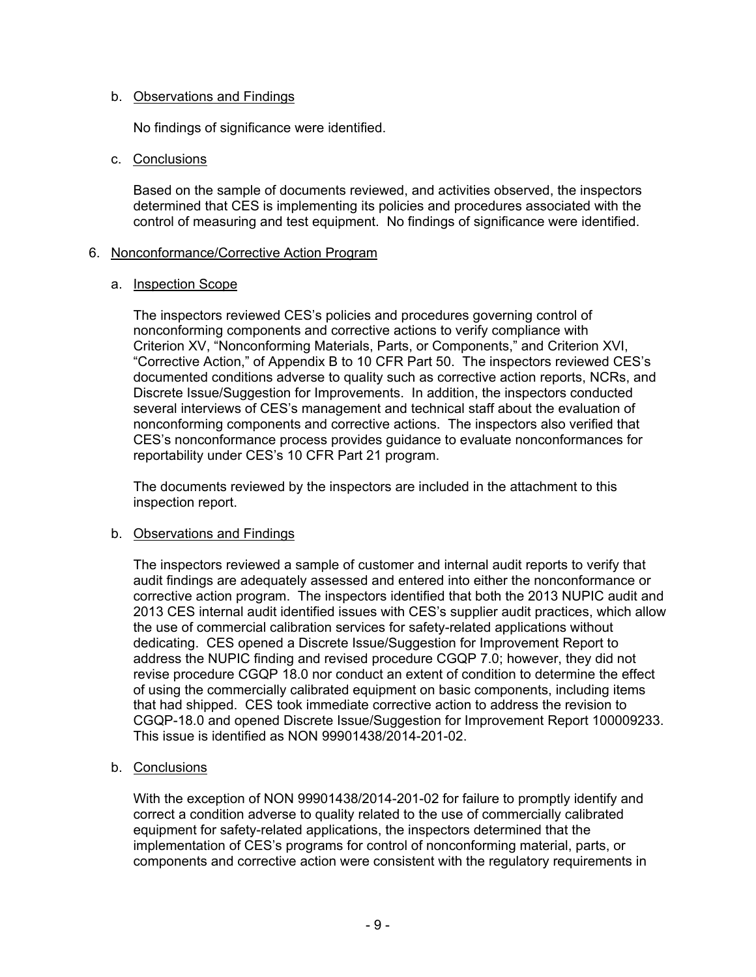## b. Observations and Findings

No findings of significance were identified.

### c. Conclusions

Based on the sample of documents reviewed, and activities observed, the inspectors determined that CES is implementing its policies and procedures associated with the control of measuring and test equipment. No findings of significance were identified.

### 6. Nonconformance/Corrective Action Program

### a. Inspection Scope

The inspectors reviewed CES's policies and procedures governing control of nonconforming components and corrective actions to verify compliance with Criterion XV, "Nonconforming Materials, Parts, or Components," and Criterion XVI, "Corrective Action," of Appendix B to 10 CFR Part 50. The inspectors reviewed CES's documented conditions adverse to quality such as corrective action reports, NCRs, and Discrete Issue/Suggestion for Improvements. In addition, the inspectors conducted several interviews of CES's management and technical staff about the evaluation of nonconforming components and corrective actions. The inspectors also verified that CES's nonconformance process provides guidance to evaluate nonconformances for reportability under CES's 10 CFR Part 21 program.

The documents reviewed by the inspectors are included in the attachment to this inspection report.

## b. Observations and Findings

The inspectors reviewed a sample of customer and internal audit reports to verify that audit findings are adequately assessed and entered into either the nonconformance or corrective action program. The inspectors identified that both the 2013 NUPIC audit and 2013 CES internal audit identified issues with CES's supplier audit practices, which allow the use of commercial calibration services for safety-related applications without dedicating. CES opened a Discrete Issue/Suggestion for Improvement Report to address the NUPIC finding and revised procedure CGQP 7.0; however, they did not revise procedure CGQP 18.0 nor conduct an extent of condition to determine the effect of using the commercially calibrated equipment on basic components, including items that had shipped. CES took immediate corrective action to address the revision to CGQP-18.0 and opened Discrete Issue/Suggestion for Improvement Report 100009233. This issue is identified as NON 99901438/2014-201-02.

## b. Conclusions

With the exception of NON 99901438/2014-201-02 for failure to promptly identify and correct a condition adverse to quality related to the use of commercially calibrated equipment for safety-related applications, the inspectors determined that the implementation of CES's programs for control of nonconforming material, parts, or components and corrective action were consistent with the regulatory requirements in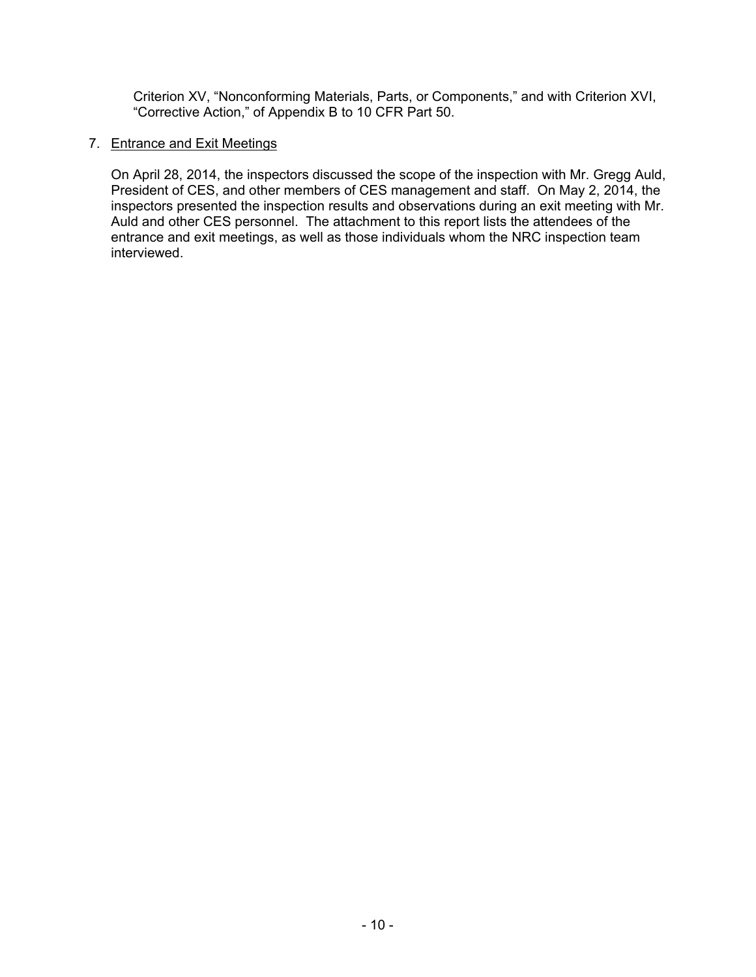Criterion XV, "Nonconforming Materials, Parts, or Components," and with Criterion XVI, "Corrective Action," of Appendix B to 10 CFR Part 50.

## 7. Entrance and Exit Meetings

On April 28, 2014, the inspectors discussed the scope of the inspection with Mr. Gregg Auld, President of CES, and other members of CES management and staff. On May 2, 2014, the inspectors presented the inspection results and observations during an exit meeting with Mr. Auld and other CES personnel. The attachment to this report lists the attendees of the entrance and exit meetings, as well as those individuals whom the NRC inspection team interviewed.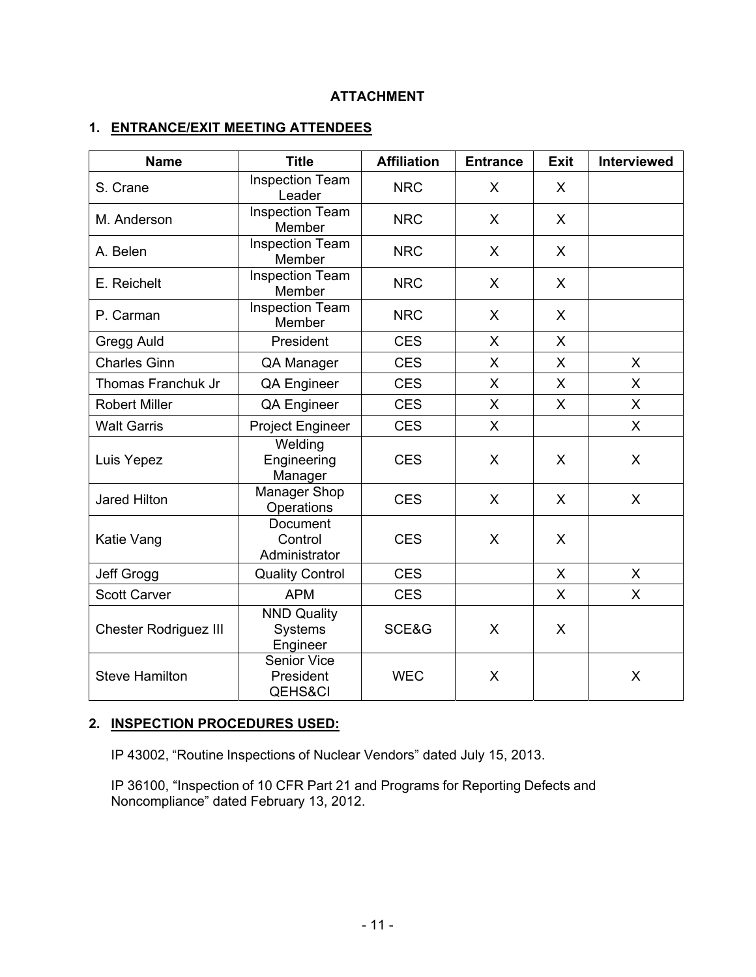## **ATTACHMENT**

## **1. ENTRANCE/EXIT MEETING ATTENDEES**

| <b>Name</b>                  | <b>Title</b>                                          | <b>Affiliation</b> | <b>Entrance</b> | <b>Exit</b>  | Interviewed |
|------------------------------|-------------------------------------------------------|--------------------|-----------------|--------------|-------------|
| S. Crane                     | <b>Inspection Team</b><br>Leader                      | <b>NRC</b>         | X               | X            |             |
| M. Anderson                  | <b>Inspection Team</b><br>Member                      | <b>NRC</b>         | $\mathsf{X}$    | $\mathsf{X}$ |             |
| A. Belen                     | <b>Inspection Team</b><br>Member                      | <b>NRC</b>         | X               | $\sf X$      |             |
| E. Reichelt                  | <b>Inspection Team</b><br>Member                      | <b>NRC</b>         | X               | $\mathsf{X}$ |             |
| P. Carman                    | <b>Inspection Team</b><br>Member                      | <b>NRC</b>         | X               | $\sf X$      |             |
| Gregg Auld                   | President                                             | <b>CES</b>         | X.              | $\mathsf{X}$ |             |
| <b>Charles Ginn</b>          | QA Manager                                            | <b>CES</b>         | $\mathsf{X}$    | $\mathsf{X}$ | X           |
| Thomas Franchuk Jr           | <b>QA Engineer</b>                                    | <b>CES</b>         | $\mathsf{X}$    | $\sf X$      | X           |
| <b>Robert Miller</b>         | <b>QA Engineer</b>                                    | <b>CES</b>         | $\mathsf{X}$    | X            | X           |
| <b>Walt Garris</b>           | <b>Project Engineer</b>                               | <b>CES</b>         | $\mathsf{X}$    |              | X           |
| Luis Yepez                   | Welding<br>Engineering<br>Manager                     | <b>CES</b>         | X               | X            | X           |
| Jared Hilton                 | <b>Manager Shop</b><br>Operations                     | <b>CES</b>         | X               | $\mathsf{X}$ | X           |
| Katie Vang                   | Document<br>Control<br>Administrator                  | <b>CES</b>         | X               | $\mathsf{X}$ |             |
| Jeff Grogg                   | <b>Quality Control</b>                                | <b>CES</b>         |                 | $\mathsf{X}$ | X           |
| <b>Scott Carver</b>          | <b>APM</b>                                            | <b>CES</b>         |                 | X            | X           |
| <b>Chester Rodriguez III</b> | <b>NND Quality</b><br>Systems<br>Engineer             | SCE&G              | $\mathsf{X}$    | X            |             |
| <b>Steve Hamilton</b>        | <b>Senior Vice</b><br>President<br><b>QEHS&amp;CI</b> | <b>WEC</b>         | X               |              | X           |

## **2. INSPECTION PROCEDURES USED:**

IP 43002, "Routine Inspections of Nuclear Vendors" dated July 15, 2013.

IP 36100, "Inspection of 10 CFR Part 21 and Programs for Reporting Defects and Noncompliance" dated February 13, 2012.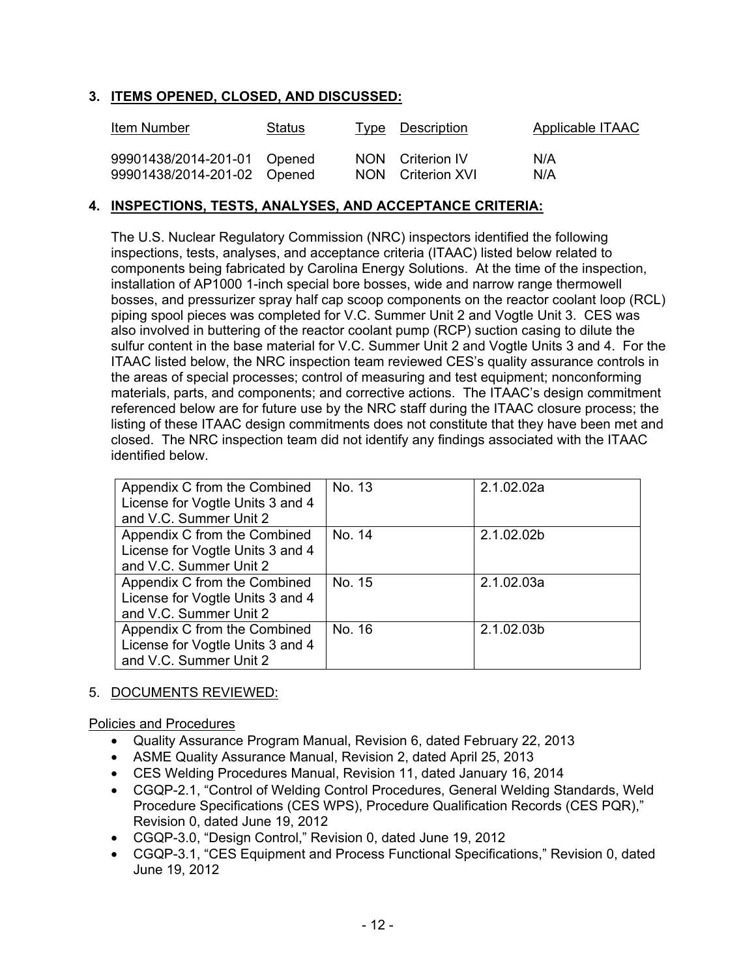## **3. ITEMS OPENED, CLOSED, AND DISCUSSED:**

| <b>Item Number</b>          | Status | <u>Type Description</u> | <b>Applicable ITAAC</b> |
|-----------------------------|--------|-------------------------|-------------------------|
| 99901438/2014-201-01 Opened |        | NON Criterion IV        | N/A                     |
| 99901438/2014-201-02 Opened |        | NON Criterion XVI       | N/A                     |

## **4. INSPECTIONS, TESTS, ANALYSES, AND ACCEPTANCE CRITERIA:**

 The U.S. Nuclear Regulatory Commission (NRC) inspectors identified the following inspections, tests, analyses, and acceptance criteria (ITAAC) listed below related to components being fabricated by Carolina Energy Solutions. At the time of the inspection, installation of AP1000 1-inch special bore bosses, wide and narrow range thermowell bosses, and pressurizer spray half cap scoop components on the reactor coolant loop (RCL) piping spool pieces was completed for V.C. Summer Unit 2 and Vogtle Unit 3. CES was also involved in buttering of the reactor coolant pump (RCP) suction casing to dilute the sulfur content in the base material for V.C. Summer Unit 2 and Vogtle Units 3 and 4. For the ITAAC listed below, the NRC inspection team reviewed CES's quality assurance controls in the areas of special processes; control of measuring and test equipment; nonconforming materials, parts, and components; and corrective actions. The ITAAC's design commitment referenced below are for future use by the NRC staff during the ITAAC closure process; the listing of these ITAAC design commitments does not constitute that they have been met and closed. The NRC inspection team did not identify any findings associated with the ITAAC identified below.

| Appendix C from the Combined<br>License for Vogtle Units 3 and 4<br>and V.C. Summer Unit 2 | No. 13 | 2.1.02.02a |
|--------------------------------------------------------------------------------------------|--------|------------|
| Appendix C from the Combined<br>License for Vogtle Units 3 and 4<br>and V.C. Summer Unit 2 | No. 14 | 2.1.02.02b |
| Appendix C from the Combined<br>License for Vogtle Units 3 and 4<br>and V.C. Summer Unit 2 | No. 15 | 2.1.02.03a |
| Appendix C from the Combined<br>License for Vogtle Units 3 and 4<br>and V.C. Summer Unit 2 | No. 16 | 2.1.02.03b |

## 5. DOCUMENTS REVIEWED:

Policies and Procedures

- Quality Assurance Program Manual, Revision 6, dated February 22, 2013
- ASME Quality Assurance Manual, Revision 2, dated April 25, 2013
- CES Welding Procedures Manual, Revision 11, dated January 16, 2014
- CGQP-2.1, "Control of Welding Control Procedures, General Welding Standards, Weld Procedure Specifications (CES WPS), Procedure Qualification Records (CES PQR)," Revision 0, dated June 19, 2012
- CGQP-3.0, "Design Control," Revision 0, dated June 19, 2012
- CGQP-3.1, "CES Equipment and Process Functional Specifications," Revision 0, dated June 19, 2012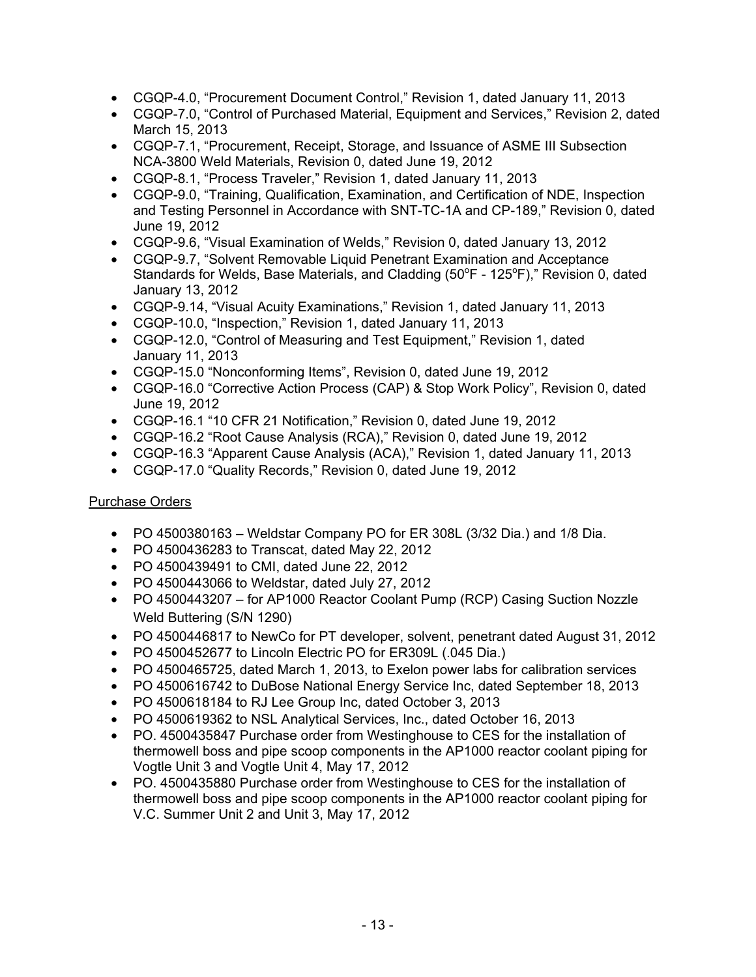- CGQP-4.0, "Procurement Document Control," Revision 1, dated January 11, 2013
- CGQP-7.0, "Control of Purchased Material, Equipment and Services," Revision 2, dated March 15, 2013
- CGQP-7.1, "Procurement, Receipt, Storage, and Issuance of ASME III Subsection NCA-3800 Weld Materials, Revision 0, dated June 19, 2012
- CGQP-8.1, "Process Traveler," Revision 1, dated January 11, 2013
- CGQP-9.0, "Training, Qualification, Examination, and Certification of NDE, Inspection and Testing Personnel in Accordance with SNT-TC-1A and CP-189," Revision 0, dated June 19, 2012
- CGQP-9.6, "Visual Examination of Welds," Revision 0, dated January 13, 2012
- CGQP-9.7, "Solvent Removable Liquid Penetrant Examination and Acceptance Standards for Welds, Base Materials, and Cladding (50°F - 125°F)," Revision 0, dated January 13, 2012
- CGQP-9.14, "Visual Acuity Examinations," Revision 1, dated January 11, 2013
- CGQP-10.0, "Inspection," Revision 1, dated January 11, 2013
- CGQP-12.0, "Control of Measuring and Test Equipment," Revision 1, dated January 11, 2013
- CGQP-15.0 "Nonconforming Items", Revision 0, dated June 19, 2012
- CGQP-16.0 "Corrective Action Process (CAP) & Stop Work Policy", Revision 0, dated June 19, 2012
- CGQP-16.1 "10 CFR 21 Notification," Revision 0, dated June 19, 2012
- CGQP-16.2 "Root Cause Analysis (RCA)," Revision 0, dated June 19, 2012
- CGQP-16.3 "Apparent Cause Analysis (ACA)," Revision 1, dated January 11, 2013
- CGQP-17.0 "Quality Records," Revision 0, dated June 19, 2012

## Purchase Orders

- PO 4500380163 Weldstar Company PO for ER 308L  $(3/32$  Dia.) and 1/8 Dia.
- PO 4500436283 to Transcat, dated May 22, 2012
- PO 4500439491 to CMI, dated June 22, 2012
- PO 4500443066 to Weldstar, dated July 27, 2012
- PO 4500443207 for AP1000 Reactor Coolant Pump (RCP) Casing Suction Nozzle Weld Buttering (S/N 1290)
- PO 4500446817 to NewCo for PT developer, solvent, penetrant dated August 31, 2012
- PO 4500452677 to Lincoln Electric PO for ER309L (.045 Dia.)
- PO 4500465725, dated March 1, 2013, to Exelon power labs for calibration services
- PO 4500616742 to DuBose National Energy Service Inc, dated September 18, 2013
- PO 4500618184 to RJ Lee Group Inc, dated October 3, 2013
- PO 4500619362 to NSL Analytical Services, Inc., dated October 16, 2013
- PO. 4500435847 Purchase order from Westinghouse to CES for the installation of thermowell boss and pipe scoop components in the AP1000 reactor coolant piping for Vogtle Unit 3 and Vogtle Unit 4, May 17, 2012
- PO. 4500435880 Purchase order from Westinghouse to CES for the installation of thermowell boss and pipe scoop components in the AP1000 reactor coolant piping for V.C. Summer Unit 2 and Unit 3, May 17, 2012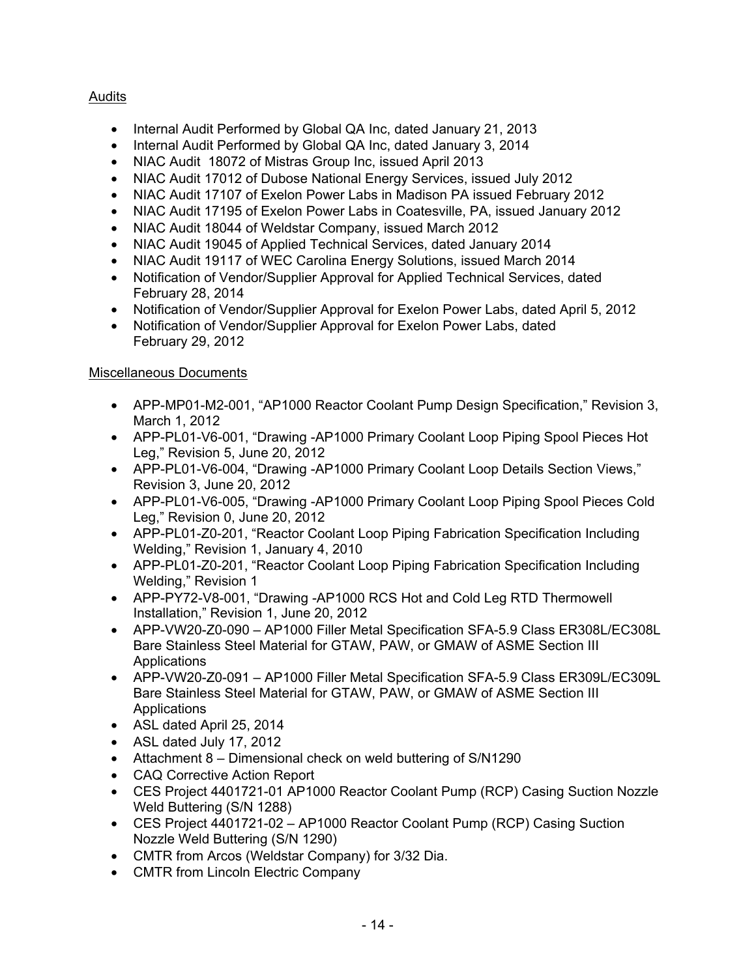# **Audits**

- Internal Audit Performed by Global QA Inc, dated January 21, 2013
- Internal Audit Performed by Global QA Inc, dated January 3, 2014
- NIAC Audit 18072 of Mistras Group Inc, issued April 2013
- NIAC Audit 17012 of Dubose National Energy Services, issued July 2012
- NIAC Audit 17107 of Exelon Power Labs in Madison PA issued February 2012
- NIAC Audit 17195 of Exelon Power Labs in Coatesville, PA, issued January 2012
- NIAC Audit 18044 of Weldstar Company, issued March 2012
- NIAC Audit 19045 of Applied Technical Services, dated January 2014
- NIAC Audit 19117 of WEC Carolina Energy Solutions, issued March 2014
- Notification of Vendor/Supplier Approval for Applied Technical Services, dated February 28, 2014
- Notification of Vendor/Supplier Approval for Exelon Power Labs, dated April 5, 2012
- Notification of Vendor/Supplier Approval for Exelon Power Labs, dated February 29, 2012

# Miscellaneous Documents

- APP-MP01-M2-001, "AP1000 Reactor Coolant Pump Design Specification," Revision 3, March 1, 2012
- APP-PL01-V6-001, "Drawing -AP1000 Primary Coolant Loop Piping Spool Pieces Hot Leg," Revision 5, June 20, 2012
- APP-PL01-V6-004, "Drawing -AP1000 Primary Coolant Loop Details Section Views," Revision 3, June 20, 2012
- APP-PL01-V6-005, "Drawing -AP1000 Primary Coolant Loop Piping Spool Pieces Cold Leg," Revision 0, June 20, 2012
- APP-PL01-Z0-201, "Reactor Coolant Loop Piping Fabrication Specification Including Welding," Revision 1, January 4, 2010
- APP-PL01-Z0-201, "Reactor Coolant Loop Piping Fabrication Specification Including Welding," Revision 1
- APP-PY72-V8-001, "Drawing -AP1000 RCS Hot and Cold Leg RTD Thermowell Installation," Revision 1, June 20, 2012
- APP-VW20-Z0-090 AP1000 Filler Metal Specification SFA-5.9 Class ER308L/EC308L Bare Stainless Steel Material for GTAW, PAW, or GMAW of ASME Section III Applications
- APP-VW20-Z0-091 AP1000 Filler Metal Specification SFA-5.9 Class ER309L/EC309L Bare Stainless Steel Material for GTAW, PAW, or GMAW of ASME Section III Applications
- ASL dated April 25, 2014
- ASL dated July 17, 2012
- Attachment 8 Dimensional check on weld buttering of S/N1290
- CAQ Corrective Action Report
- CES Project 4401721-01 AP1000 Reactor Coolant Pump (RCP) Casing Suction Nozzle Weld Buttering (S/N 1288)
- CES Project 4401721-02 AP1000 Reactor Coolant Pump (RCP) Casing Suction Nozzle Weld Buttering (S/N 1290)
- CMTR from Arcos (Weldstar Company) for 3/32 Dia.
- CMTR from Lincoln Electric Company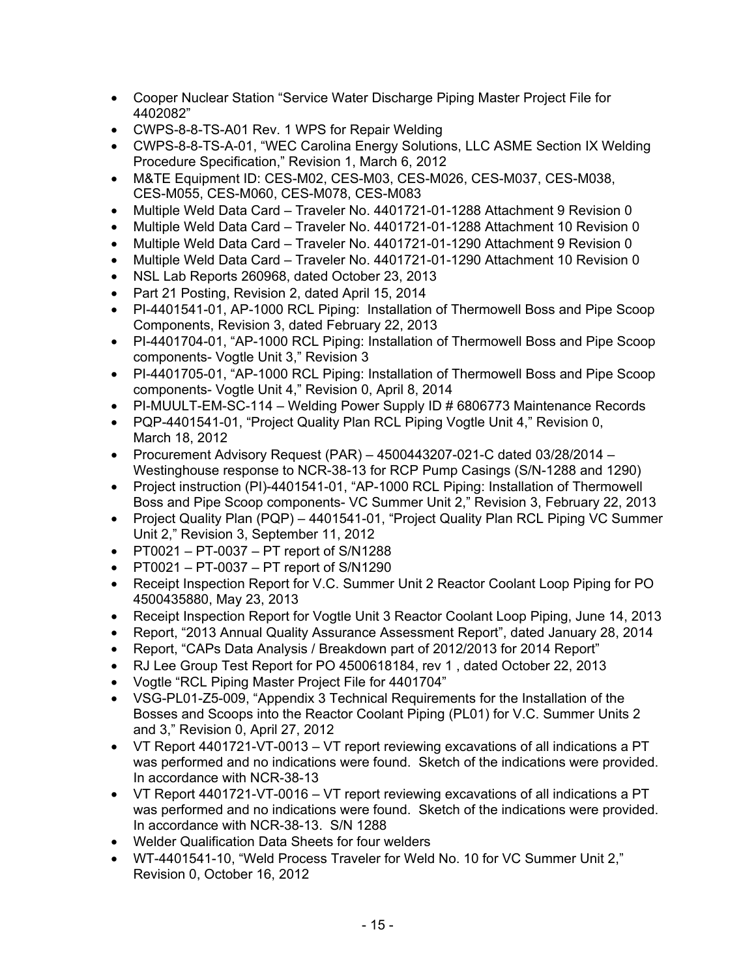- Cooper Nuclear Station "Service Water Discharge Piping Master Project File for 4402082"
- CWPS-8-8-TS-A01 Rev. 1 WPS for Repair Welding
- CWPS-8-8-TS-A-01, "WEC Carolina Energy Solutions, LLC ASME Section IX Welding Procedure Specification," Revision 1, March 6, 2012
- M&TE Equipment ID: CES-M02, CES-M03, CES-M026, CES-M037, CES-M038, CES-M055, CES-M060, CES-M078, CES-M083
- Multiple Weld Data Card Traveler No. 4401721-01-1288 Attachment 9 Revision 0
- Multiple Weld Data Card Traveler No. 4401721-01-1288 Attachment 10 Revision 0
- Multiple Weld Data Card Traveler No. 4401721-01-1290 Attachment 9 Revision 0
- Multiple Weld Data Card Traveler No. 4401721-01-1290 Attachment 10 Revision 0
- NSL Lab Reports 260968, dated October 23, 2013
- Part 21 Posting, Revision 2, dated April 15, 2014
- PI-4401541-01, AP-1000 RCL Piping: Installation of Thermowell Boss and Pipe Scoop Components, Revision 3, dated February 22, 2013
- PI-4401704-01, "AP-1000 RCL Piping: Installation of Thermowell Boss and Pipe Scoop components- Vogtle Unit 3," Revision 3
- PI-4401705-01, "AP-1000 RCL Piping: Installation of Thermowell Boss and Pipe Scoop components- Vogtle Unit 4," Revision 0, April 8, 2014
- PI-MUULT-EM-SC-114 Welding Power Supply ID # 6806773 Maintenance Records
- PQP-4401541-01, "Project Quality Plan RCL Piping Vogtle Unit 4," Revision 0, March 18, 2012
- Procurement Advisory Request (PAR) 4500443207-021-C dated 03/28/2014 Westinghouse response to NCR-38-13 for RCP Pump Casings (S/N-1288 and 1290)
- Project instruction (PI)-4401541-01, "AP-1000 RCL Piping: Installation of Thermowell Boss and Pipe Scoop components- VC Summer Unit 2," Revision 3, February 22, 2013
- Project Quality Plan (PQP) 4401541-01, "Project Quality Plan RCL Piping VC Summer Unit 2," Revision 3, September 11, 2012
- PT0021 PT-0037 PT report of S/N1288
- $\bullet$  PT0021 PT-0037 PT report of S/N1290
- Receipt Inspection Report for V.C. Summer Unit 2 Reactor Coolant Loop Piping for PO 4500435880, May 23, 2013
- Receipt Inspection Report for Vogtle Unit 3 Reactor Coolant Loop Piping, June 14, 2013
- Report, "2013 Annual Quality Assurance Assessment Report", dated January 28, 2014
- Report, "CAPs Data Analysis / Breakdown part of 2012/2013 for 2014 Report"
- RJ Lee Group Test Report for PO 4500618184, rev 1 , dated October 22, 2013
- Vogtle "RCL Piping Master Project File for 4401704"
- VSG-PL01-Z5-009, "Appendix 3 Technical Requirements for the Installation of the Bosses and Scoops into the Reactor Coolant Piping (PL01) for V.C. Summer Units 2 and 3," Revision 0, April 27, 2012
- VT Report 4401721-VT-0013 VT report reviewing excavations of all indications a PT was performed and no indications were found. Sketch of the indications were provided. In accordance with NCR-38-13
- VT Report 4401721-VT-0016 VT report reviewing excavations of all indications a PT was performed and no indications were found. Sketch of the indications were provided. In accordance with NCR-38-13. S/N 1288
- Welder Qualification Data Sheets for four welders
- WT-4401541-10, "Weld Process Traveler for Weld No. 10 for VC Summer Unit 2," Revision 0, October 16, 2012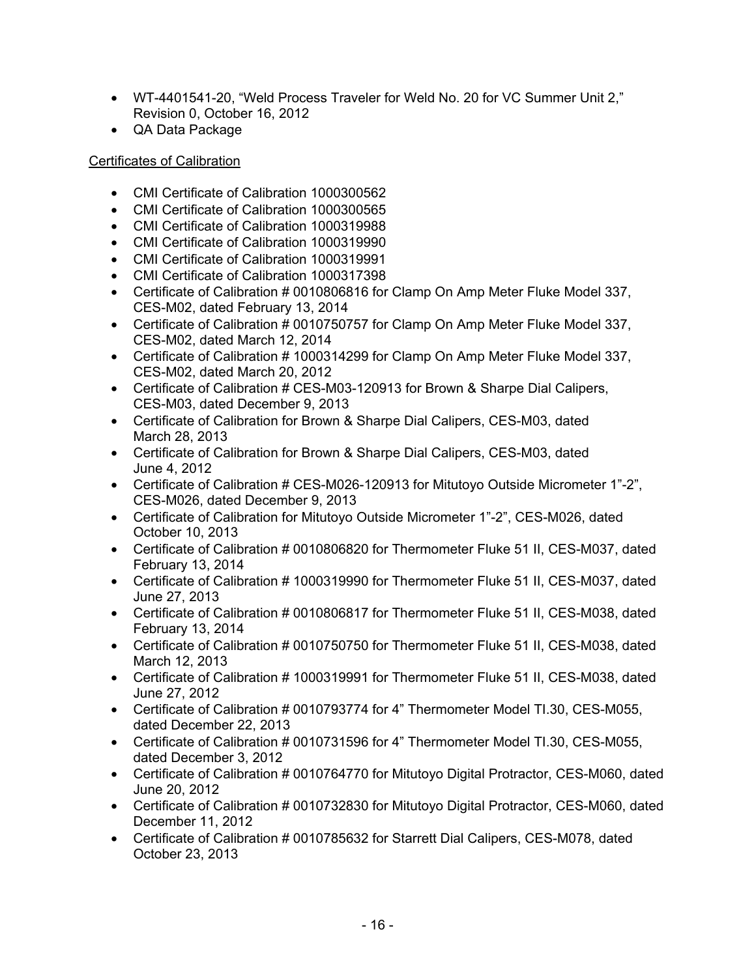- WT-4401541-20, "Weld Process Traveler for Weld No. 20 for VC Summer Unit 2," Revision 0, October 16, 2012
- QA Data Package

## Certificates of Calibration

- CMI Certificate of Calibration 1000300562
- CMI Certificate of Calibration 1000300565
- CMI Certificate of Calibration 1000319988
- CMI Certificate of Calibration 1000319990
- CMI Certificate of Calibration 1000319991
- CMI Certificate of Calibration 1000317398
- Certificate of Calibration # 0010806816 for Clamp On Amp Meter Fluke Model 337, CES-M02, dated February 13, 2014
- Certificate of Calibration # 0010750757 for Clamp On Amp Meter Fluke Model 337, CES-M02, dated March 12, 2014
- Certificate of Calibration # 1000314299 for Clamp On Amp Meter Fluke Model 337, CES-M02, dated March 20, 2012
- Certificate of Calibration # CES-M03-120913 for Brown & Sharpe Dial Calipers, CES-M03, dated December 9, 2013
- Certificate of Calibration for Brown & Sharpe Dial Calipers, CES-M03, dated March 28, 2013
- Certificate of Calibration for Brown & Sharpe Dial Calipers, CES-M03, dated June 4, 2012
- Certificate of Calibration # CES-M026-120913 for Mitutoyo Outside Micrometer 1"-2", CES-M026, dated December 9, 2013
- Certificate of Calibration for Mitutoyo Outside Micrometer 1"-2", CES-M026, dated October 10, 2013
- Certificate of Calibration # 0010806820 for Thermometer Fluke 51 II, CES-M037, dated February 13, 2014
- Certificate of Calibration # 1000319990 for Thermometer Fluke 51 II, CES-M037, dated June 27, 2013
- Certificate of Calibration # 0010806817 for Thermometer Fluke 51 II, CES-M038, dated February 13, 2014
- Certificate of Calibration # 0010750750 for Thermometer Fluke 51 II, CES-M038, dated March 12, 2013
- Certificate of Calibration # 1000319991 for Thermometer Fluke 51 II, CES-M038, dated June 27, 2012
- Certificate of Calibration # 0010793774 for 4" Thermometer Model TI.30, CES-M055, dated December 22, 2013
- Certificate of Calibration # 0010731596 for 4" Thermometer Model TI.30, CES-M055, dated December 3, 2012
- Certificate of Calibration # 0010764770 for Mitutoyo Digital Protractor, CES-M060, dated June 20, 2012
- Certificate of Calibration # 0010732830 for Mitutoyo Digital Protractor, CES-M060, dated December 11, 2012
- Certificate of Calibration # 0010785632 for Starrett Dial Calipers, CES-M078, dated October 23, 2013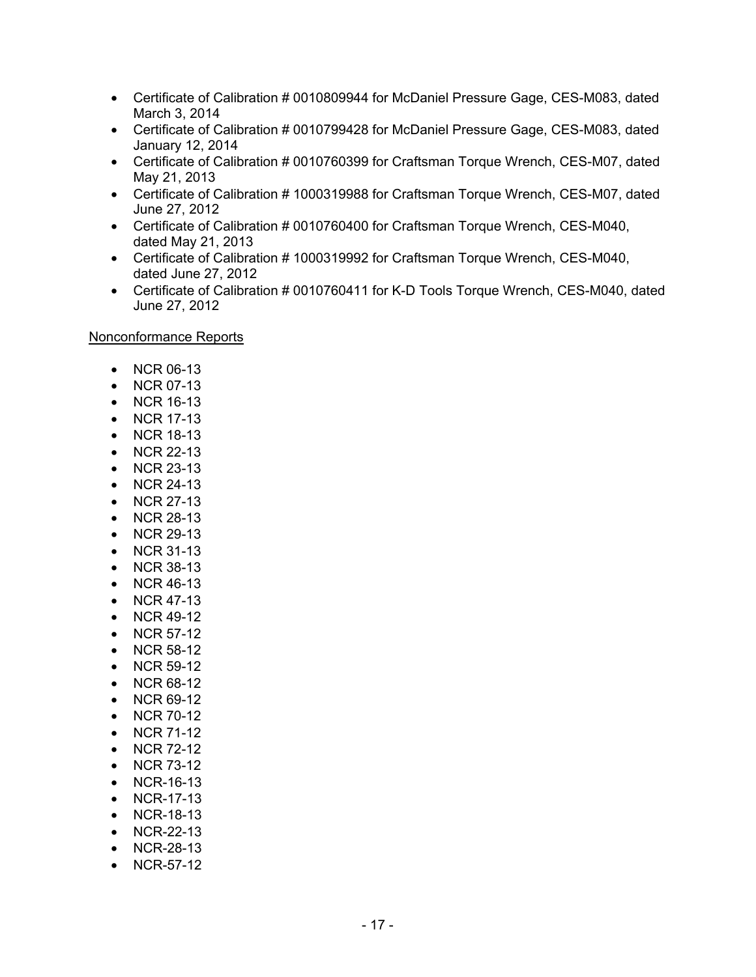- Certificate of Calibration # 0010809944 for McDaniel Pressure Gage, CES-M083, dated March 3, 2014
- Certificate of Calibration # 0010799428 for McDaniel Pressure Gage, CES-M083, dated January 12, 2014
- Certificate of Calibration # 0010760399 for Craftsman Torque Wrench, CES-M07, dated May 21, 2013
- Certificate of Calibration # 1000319988 for Craftsman Torque Wrench, CES-M07, dated June 27, 2012
- Certificate of Calibration # 0010760400 for Craftsman Torque Wrench, CES-M040, dated May 21, 2013
- Certificate of Calibration # 1000319992 for Craftsman Torque Wrench, CES-M040, dated June 27, 2012
- Certificate of Calibration # 0010760411 for K-D Tools Torque Wrench, CES-M040, dated June 27, 2012

Nonconformance Reports

- NCR 06-13
- NCR 07-13
- NCR 16-13
- NCR 17-13
- NCR 18-13
- NCR 22-13
- NCR 23-13
- NCR 24-13
- NCR 27-13
- NCR 28-13
- NCR 29-13
- NCR 31-13
- NCR 38-13
- NCR 46-13
- NCR 47-13
- NCR 49-12
- NCR 57-12
- NCR 58-12
- NCR 59-12
- NCR 68-12
- NCR 69-12
- NCR 70-12
- NCR 71-12
- NCR 72-12
- NCR 73-12
- NCR-16-13
- NCR-17-13
- NCR-18-13
- NCR-22-13
- NCR-28-13
- NCR-57-12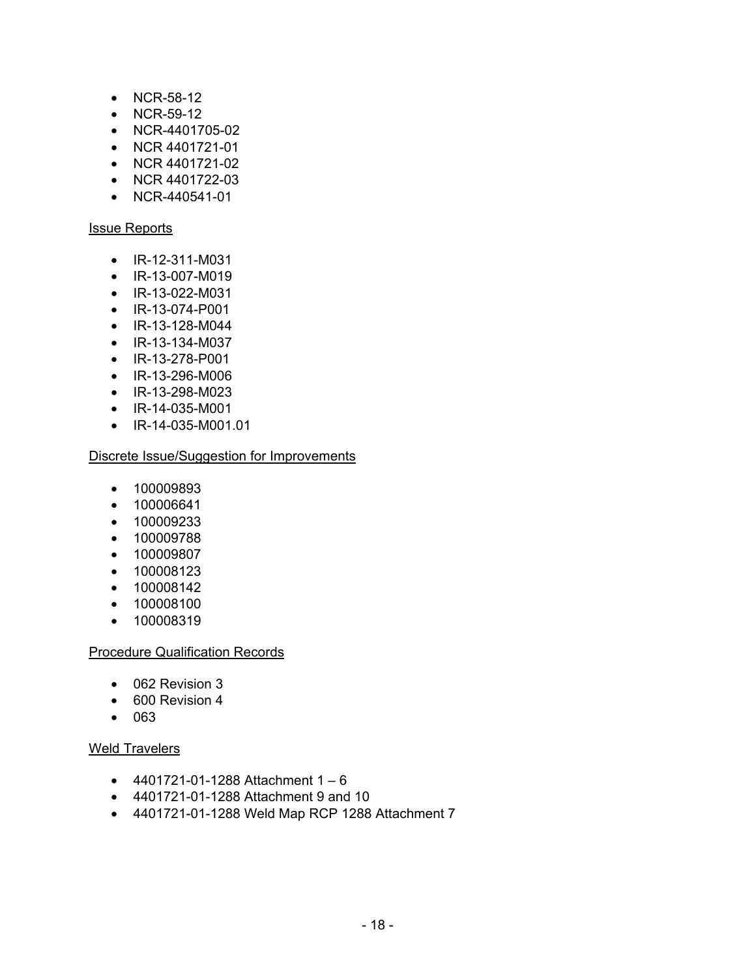- NCR-58-12
- NCR-59-12
- NCR-4401705-02
- NCR 4401721-01
- NCR 4401721-02
- NCR 4401722-03
- NCR-440541-01

#### Issue Reports

- IR-12-311-M031
- IR-13-007-M019
- IR-13-022-M031
- IR-13-074-P001
- IR-13-128-M044
- IR-13-134-M037
- IR-13-278-P001
- IR-13-296-M006
- IR-13-298-M023
- IR-14-035-M001
- IR-14-035-M001.01

### Discrete Issue/Suggestion for Improvements

- 100009893
- 100006641
- 100009233
- 100009788
- 100009807
- 100008123
- 100008142
- 100008100
- 100008319

#### Procedure Qualification Records

- 062 Revision 3
- 600 Revision 4
- 063

## Weld Travelers

- 4401721-01-1288 Attachment  $1 6$
- 4401721-01-1288 Attachment 9 and 10
- 4401721-01-1288 Weld Map RCP 1288 Attachment 7